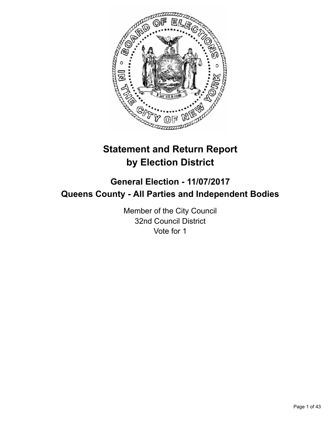

# **Statement and Return Report by Election District**

# **General Election - 11/07/2017 Queens County - All Parties and Independent Bodies**

Member of the City Council 32nd Council District Vote for 1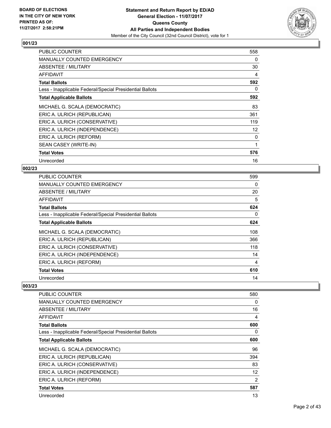

| <b>PUBLIC COUNTER</b>                                    | 558 |
|----------------------------------------------------------|-----|
| <b>MANUALLY COUNTED EMERGENCY</b>                        | 0   |
| ABSENTEE / MILITARY                                      | 30  |
| AFFIDAVIT                                                | 4   |
| <b>Total Ballots</b>                                     | 592 |
| Less - Inapplicable Federal/Special Presidential Ballots | 0   |
| <b>Total Applicable Ballots</b>                          | 592 |
| MICHAEL G. SCALA (DEMOCRATIC)                            | 83  |
| ERIC A. ULRICH (REPUBLICAN)                              | 361 |
| ERIC A. ULRICH (CONSERVATIVE)                            | 119 |
| ERIC A. ULRICH (INDEPENDENCE)                            | 12  |
| ERIC A. ULRICH (REFORM)                                  | 0   |
| SEAN CASEY (WRITE-IN)                                    | 1   |
| <b>Total Votes</b>                                       | 576 |
| Unrecorded                                               | 16  |

#### **002/23**

| <b>PUBLIC COUNTER</b>                                    | 599 |
|----------------------------------------------------------|-----|
| <b>MANUALLY COUNTED EMERGENCY</b>                        | 0   |
| ABSENTEE / MILITARY                                      | 20  |
| AFFIDAVIT                                                | 5   |
| <b>Total Ballots</b>                                     | 624 |
| Less - Inapplicable Federal/Special Presidential Ballots | 0   |
| <b>Total Applicable Ballots</b>                          | 624 |
| MICHAEL G. SCALA (DEMOCRATIC)                            | 108 |
| ERIC A. ULRICH (REPUBLICAN)                              | 366 |
| ERIC A. ULRICH (CONSERVATIVE)                            | 118 |
| ERIC A. ULRICH (INDEPENDENCE)                            | 14  |
| ERIC A. ULRICH (REFORM)                                  | 4   |
| <b>Total Votes</b>                                       | 610 |
| Unrecorded                                               | 14  |

| PUBLIC COUNTER                                           | 580 |
|----------------------------------------------------------|-----|
| MANUALLY COUNTED EMERGENCY                               | 0   |
| ABSENTEE / MILITARY                                      | 16  |
| AFFIDAVIT                                                | 4   |
| <b>Total Ballots</b>                                     | 600 |
| Less - Inapplicable Federal/Special Presidential Ballots | 0   |
| <b>Total Applicable Ballots</b>                          | 600 |
| MICHAEL G. SCALA (DEMOCRATIC)                            | 96  |
| ERIC A. ULRICH (REPUBLICAN)                              | 394 |
| ERIC A. ULRICH (CONSERVATIVE)                            | 83  |
| ERIC A. ULRICH (INDEPENDENCE)                            | 12  |
| ERIC A. ULRICH (REFORM)                                  | 2   |
| <b>Total Votes</b>                                       | 587 |
| Unrecorded                                               | 13  |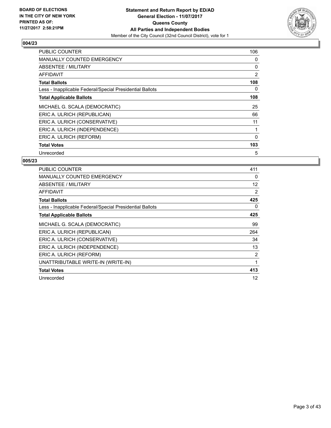

| <b>PUBLIC COUNTER</b>                                    | 106      |
|----------------------------------------------------------|----------|
| <b>MANUALLY COUNTED EMERGENCY</b>                        | 0        |
| ABSENTEE / MILITARY                                      | 0        |
| AFFIDAVIT                                                | 2        |
| <b>Total Ballots</b>                                     | 108      |
| Less - Inapplicable Federal/Special Presidential Ballots | 0        |
| <b>Total Applicable Ballots</b>                          | 108      |
| MICHAEL G. SCALA (DEMOCRATIC)                            | 25       |
| ERIC A. ULRICH (REPUBLICAN)                              | 66       |
| ERIC A. ULRICH (CONSERVATIVE)                            | 11       |
| ERIC A. ULRICH (INDEPENDENCE)                            |          |
| ERIC A. ULRICH (REFORM)                                  | $\Omega$ |
| <b>Total Votes</b>                                       | 103      |
| Unrecorded                                               | 5        |

| <b>PUBLIC COUNTER</b>                                    | 411 |
|----------------------------------------------------------|-----|
| <b>MANUALLY COUNTED EMERGENCY</b>                        | 0   |
| ABSENTEE / MILITARY                                      | 12  |
| AFFIDAVIT                                                | 2   |
| <b>Total Ballots</b>                                     | 425 |
| Less - Inapplicable Federal/Special Presidential Ballots | 0   |
| <b>Total Applicable Ballots</b>                          | 425 |
| MICHAEL G. SCALA (DEMOCRATIC)                            | 99  |
| ERIC A. ULRICH (REPUBLICAN)                              | 264 |
| ERIC A. ULRICH (CONSERVATIVE)                            | 34  |
| ERIC A. ULRICH (INDEPENDENCE)                            | 13  |
| ERIC A. ULRICH (REFORM)                                  | 2   |
| UNATTRIBUTABLE WRITE-IN (WRITE-IN)                       | 1   |
| <b>Total Votes</b>                                       | 413 |
| Unrecorded                                               | 12  |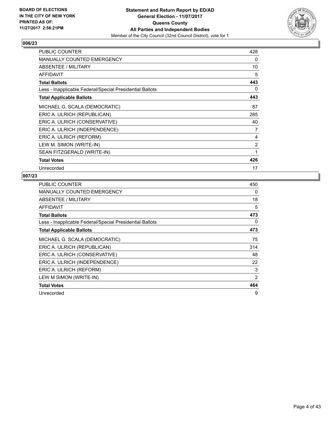

| <b>PUBLIC COUNTER</b>                                    | 428 |
|----------------------------------------------------------|-----|
| <b>MANUALLY COUNTED EMERGENCY</b>                        | 0   |
| ABSENTEE / MILITARY                                      | 10  |
| <b>AFFIDAVIT</b>                                         | 5   |
| <b>Total Ballots</b>                                     | 443 |
| Less - Inapplicable Federal/Special Presidential Ballots | 0   |
| <b>Total Applicable Ballots</b>                          | 443 |
| MICHAEL G. SCALA (DEMOCRATIC)                            | 87  |
| ERIC A. ULRICH (REPUBLICAN)                              | 285 |
| ERIC A. ULRICH (CONSERVATIVE)                            | 40  |
| ERIC A. ULRICH (INDEPENDENCE)                            | 7   |
| ERIC A. ULRICH (REFORM)                                  | 4   |
| LEW M. SIMON (WRITE-IN)                                  | 2   |
| SEAN FITZGERALD (WRITE-IN)                               | 1   |
| <b>Total Votes</b>                                       | 426 |
| Unrecorded                                               | 17  |

| <b>PUBLIC COUNTER</b>                                    | 450 |
|----------------------------------------------------------|-----|
| <b>MANUALLY COUNTED EMERGENCY</b>                        | 0   |
| ABSENTEE / MILITARY                                      | 18  |
| AFFIDAVIT                                                | 5   |
| <b>Total Ballots</b>                                     | 473 |
| Less - Inapplicable Federal/Special Presidential Ballots | 0   |
| <b>Total Applicable Ballots</b>                          | 473 |
| MICHAEL G. SCALA (DEMOCRATIC)                            | 75  |
| ERIC A. ULRICH (REPUBLICAN)                              | 314 |
| ERIC A. ULRICH (CONSERVATIVE)                            | 48  |
| ERIC A. ULRICH (INDEPENDENCE)                            | 22  |
| ERIC A. ULRICH (REFORM)                                  | 3   |
| LEW M SIMON (WRITE-IN)                                   | 2   |
| <b>Total Votes</b>                                       | 464 |
| Unrecorded                                               | 9   |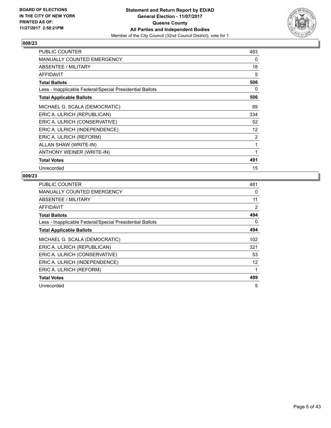

| PUBLIC COUNTER                                           | 483 |
|----------------------------------------------------------|-----|
| <b>MANUALLY COUNTED EMERGENCY</b>                        | 0   |
| ABSENTEE / MILITARY                                      | 18  |
| AFFIDAVIT                                                | 5   |
| <b>Total Ballots</b>                                     | 506 |
| Less - Inapplicable Federal/Special Presidential Ballots | 0   |
| <b>Total Applicable Ballots</b>                          | 506 |
| MICHAEL G. SCALA (DEMOCRATIC)                            | 89  |
| ERIC A. ULRICH (REPUBLICAN)                              | 334 |
| ERIC A. ULRICH (CONSERVATIVE)                            | 52  |
| ERIC A. ULRICH (INDEPENDENCE)                            | 12  |
| ERIC A. ULRICH (REFORM)                                  | 2   |
| ALLAN SHAW (WRITE-IN)                                    | 1   |
| ANTHONY WEINER (WRITE-IN)                                | 1   |
| <b>Total Votes</b>                                       | 491 |
| Unrecorded                                               | 15  |

| <b>PUBLIC COUNTER</b>                                    | 481 |
|----------------------------------------------------------|-----|
| <b>MANUALLY COUNTED EMERGENCY</b>                        | 0   |
| <b>ABSENTEE / MILITARY</b>                               | 11  |
| AFFIDAVIT                                                | 2   |
| <b>Total Ballots</b>                                     | 494 |
| Less - Inapplicable Federal/Special Presidential Ballots | 0   |
| <b>Total Applicable Ballots</b>                          | 494 |
| MICHAEL G. SCALA (DEMOCRATIC)                            | 102 |
| ERIC A. ULRICH (REPUBLICAN)                              | 321 |
| ERIC A. ULRICH (CONSERVATIVE)                            | 53  |
| ERIC A. ULRICH (INDEPENDENCE)                            | 12  |
| ERIC A. ULRICH (REFORM)                                  | 1   |
| <b>Total Votes</b>                                       | 489 |
| Unrecorded                                               | 5   |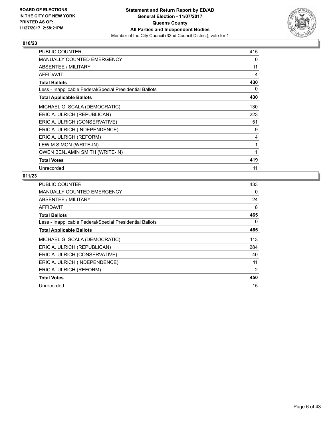

| <b>PUBLIC COUNTER</b>                                    | 415 |
|----------------------------------------------------------|-----|
| <b>MANUALLY COUNTED EMERGENCY</b>                        | 0   |
| ABSENTEE / MILITARY                                      | 11  |
| <b>AFFIDAVIT</b>                                         | 4   |
| <b>Total Ballots</b>                                     | 430 |
| Less - Inapplicable Federal/Special Presidential Ballots | 0   |
| <b>Total Applicable Ballots</b>                          | 430 |
| MICHAEL G. SCALA (DEMOCRATIC)                            | 130 |
| ERIC A. ULRICH (REPUBLICAN)                              | 223 |
| ERIC A. ULRICH (CONSERVATIVE)                            | 51  |
| ERIC A. ULRICH (INDEPENDENCE)                            | 9   |
| ERIC A. ULRICH (REFORM)                                  | 4   |
| LEW M SIMON (WRITE-IN)                                   | 1   |
| <b>OWEN BENJAMIN SMITH (WRITE-IN)</b>                    | 1   |
| <b>Total Votes</b>                                       | 419 |
| Unrecorded                                               | 11  |

| <b>PUBLIC COUNTER</b>                                    | 433 |
|----------------------------------------------------------|-----|
| <b>MANUALLY COUNTED EMERGENCY</b>                        | 0   |
| ABSENTEE / MILITARY                                      | 24  |
| AFFIDAVIT                                                | 8   |
| <b>Total Ballots</b>                                     | 465 |
| Less - Inapplicable Federal/Special Presidential Ballots | 0   |
| <b>Total Applicable Ballots</b>                          | 465 |
| MICHAEL G. SCALA (DEMOCRATIC)                            | 113 |
| ERIC A. ULRICH (REPUBLICAN)                              | 284 |
| ERIC A. ULRICH (CONSERVATIVE)                            | 40  |
| ERIC A. ULRICH (INDEPENDENCE)                            | 11  |
| ERIC A. ULRICH (REFORM)                                  | 2   |
| <b>Total Votes</b>                                       | 450 |
| Unrecorded                                               | 15  |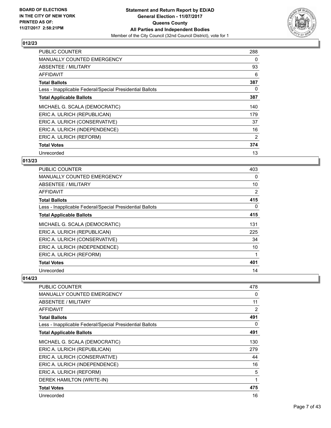

| <b>PUBLIC COUNTER</b>                                    | 288 |
|----------------------------------------------------------|-----|
| <b>MANUALLY COUNTED EMERGENCY</b>                        | 0   |
| <b>ABSENTEE / MILITARY</b>                               | 93  |
| AFFIDAVIT                                                | 6   |
| <b>Total Ballots</b>                                     | 387 |
| Less - Inapplicable Federal/Special Presidential Ballots | 0   |
| <b>Total Applicable Ballots</b>                          | 387 |
| MICHAEL G. SCALA (DEMOCRATIC)                            | 140 |
| ERIC A. ULRICH (REPUBLICAN)                              | 179 |
| ERIC A. ULRICH (CONSERVATIVE)                            | 37  |
| ERIC A. ULRICH (INDEPENDENCE)                            | 16  |
| ERIC A. ULRICH (REFORM)                                  | 2   |
| <b>Total Votes</b>                                       | 374 |
| Unrecorded                                               | 13  |

## **013/23**

| <b>PUBLIC COUNTER</b>                                    | 403 |
|----------------------------------------------------------|-----|
| <b>MANUALLY COUNTED EMERGENCY</b>                        | 0   |
| ABSENTEE / MILITARY                                      | 10  |
| AFFIDAVIT                                                | 2   |
| <b>Total Ballots</b>                                     | 415 |
| Less - Inapplicable Federal/Special Presidential Ballots | 0   |
| <b>Total Applicable Ballots</b>                          | 415 |
| MICHAEL G. SCALA (DEMOCRATIC)                            | 131 |
| ERIC A. ULRICH (REPUBLICAN)                              | 225 |
| ERIC A. ULRICH (CONSERVATIVE)                            | 34  |
| ERIC A. ULRICH (INDEPENDENCE)                            | 10  |
| ERIC A. ULRICH (REFORM)                                  | 1   |
| <b>Total Votes</b>                                       | 401 |
| Unrecorded                                               | 14  |

| PUBLIC COUNTER                                           | 478 |
|----------------------------------------------------------|-----|
| <b>MANUALLY COUNTED EMERGENCY</b>                        | 0   |
| ABSENTEE / MILITARY                                      | 11  |
| AFFIDAVIT                                                | 2   |
| <b>Total Ballots</b>                                     | 491 |
| Less - Inapplicable Federal/Special Presidential Ballots | 0   |
| <b>Total Applicable Ballots</b>                          | 491 |
| MICHAEL G. SCALA (DEMOCRATIC)                            | 130 |
| ERIC A. ULRICH (REPUBLICAN)                              | 279 |
| ERIC A. ULRICH (CONSERVATIVE)                            | 44  |
| ERIC A. ULRICH (INDEPENDENCE)                            | 16  |
| ERIC A. ULRICH (REFORM)                                  | 5   |
| DEREK HAMILTON (WRITE-IN)                                | 1   |
| <b>Total Votes</b>                                       | 475 |
| Unrecorded                                               | 16  |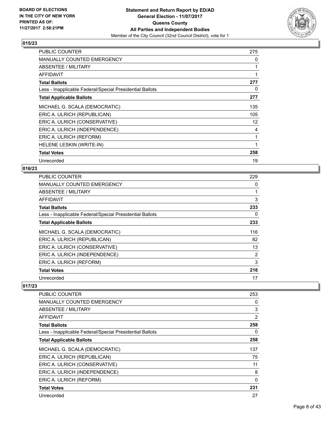

| <b>PUBLIC COUNTER</b>                                    | 275               |
|----------------------------------------------------------|-------------------|
| <b>MANUALLY COUNTED EMERGENCY</b>                        | 0                 |
| ABSENTEE / MILITARY                                      | 1                 |
| AFFIDAVIT                                                |                   |
| <b>Total Ballots</b>                                     | 277               |
| Less - Inapplicable Federal/Special Presidential Ballots | 0                 |
| <b>Total Applicable Ballots</b>                          | 277               |
| MICHAEL G. SCALA (DEMOCRATIC)                            | 135               |
| ERIC A. ULRICH (REPUBLICAN)                              | 105               |
| ERIC A. ULRICH (CONSERVATIVE)                            | $12 \overline{ }$ |
| ERIC A. ULRICH (INDEPENDENCE)                            | 4                 |
| ERIC A. ULRICH (REFORM)                                  |                   |
| HELENE LESKIN (WRITE-IN)                                 |                   |
| <b>Total Votes</b>                                       | 258               |
| Unrecorded                                               | 19                |

#### **016/23**

| <b>PUBLIC COUNTER</b>                                    | 229            |
|----------------------------------------------------------|----------------|
| <b>MANUALLY COUNTED EMERGENCY</b>                        | 0              |
| ABSENTEE / MILITARY                                      |                |
| AFFIDAVIT                                                | 3              |
| <b>Total Ballots</b>                                     | 233            |
| Less - Inapplicable Federal/Special Presidential Ballots | 0              |
| <b>Total Applicable Ballots</b>                          | 233            |
| MICHAEL G. SCALA (DEMOCRATIC)                            | 116            |
| ERIC A. ULRICH (REPUBLICAN)                              | 82             |
| ERIC A. ULRICH (CONSERVATIVE)                            | 13             |
| ERIC A. ULRICH (INDEPENDENCE)                            | $\overline{2}$ |
| ERIC A. ULRICH (REFORM)                                  | 3              |
| <b>Total Votes</b>                                       | 216            |
| Unrecorded                                               | 17             |

| PUBLIC COUNTER                                           | 253 |
|----------------------------------------------------------|-----|
| MANUALLY COUNTED EMERGENCY                               | 0   |
| ABSENTEE / MILITARY                                      | 3   |
| AFFIDAVIT                                                | 2   |
| <b>Total Ballots</b>                                     | 258 |
| Less - Inapplicable Federal/Special Presidential Ballots | 0   |
| <b>Total Applicable Ballots</b>                          | 258 |
| MICHAEL G. SCALA (DEMOCRATIC)                            | 137 |
| ERIC A. ULRICH (REPUBLICAN)                              | 75  |
| ERIC A. ULRICH (CONSERVATIVE)                            | 11  |
| ERIC A. ULRICH (INDEPENDENCE)                            | 8   |
| ERIC A. ULRICH (REFORM)                                  | 0   |
| <b>Total Votes</b>                                       | 231 |
| Unrecorded                                               | 27  |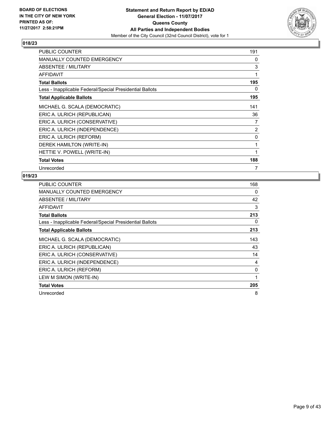

| <b>PUBLIC COUNTER</b>                                    | 191          |
|----------------------------------------------------------|--------------|
| <b>MANUALLY COUNTED EMERGENCY</b>                        | 0            |
| ABSENTEE / MILITARY                                      | 3            |
| <b>AFFIDAVIT</b>                                         | 1            |
| <b>Total Ballots</b>                                     | 195          |
| Less - Inapplicable Federal/Special Presidential Ballots | 0            |
| <b>Total Applicable Ballots</b>                          | 195          |
| MICHAEL G. SCALA (DEMOCRATIC)                            | 141          |
| ERIC A. ULRICH (REPUBLICAN)                              | 36           |
| ERIC A. ULRICH (CONSERVATIVE)                            | 7            |
| ERIC A. ULRICH (INDEPENDENCE)                            | 2            |
| ERIC A. ULRICH (REFORM)                                  | 0            |
| DEREK HAMILTON (WRITE-IN)                                | $\mathbf{1}$ |
| HETTIE V. POWELL (WRITE-IN)                              | 1            |
| <b>Total Votes</b>                                       | 188          |
| Unrecorded                                               | 7            |

| <b>PUBLIC COUNTER</b>                                    | 168 |
|----------------------------------------------------------|-----|
| <b>MANUALLY COUNTED EMERGENCY</b>                        | 0   |
| ABSENTEE / MILITARY                                      | 42  |
| <b>AFFIDAVIT</b>                                         | 3   |
| <b>Total Ballots</b>                                     | 213 |
| Less - Inapplicable Federal/Special Presidential Ballots | 0   |
| <b>Total Applicable Ballots</b>                          | 213 |
| MICHAEL G. SCALA (DEMOCRATIC)                            | 143 |
| ERIC A. ULRICH (REPUBLICAN)                              | 43  |
| ERIC A. ULRICH (CONSERVATIVE)                            | 14  |
| ERIC A. ULRICH (INDEPENDENCE)                            | 4   |
| ERIC A. ULRICH (REFORM)                                  | 0   |
| LEW M SIMON (WRITE-IN)                                   | 1   |
| <b>Total Votes</b>                                       | 205 |
| Unrecorded                                               | 8   |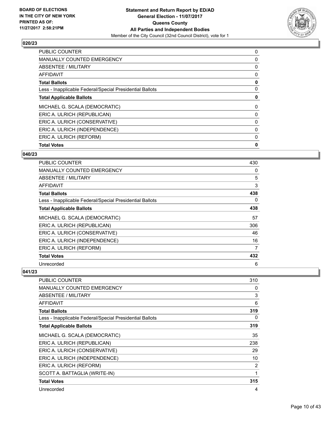

| <b>PUBLIC COUNTER</b>                                    | 0 |
|----------------------------------------------------------|---|
| <b>MANUALLY COUNTED EMERGENCY</b>                        | 0 |
| ABSENTEE / MILITARY                                      | 0 |
| <b>AFFIDAVIT</b>                                         | 0 |
| <b>Total Ballots</b>                                     | 0 |
| Less - Inapplicable Federal/Special Presidential Ballots | 0 |
| <b>Total Applicable Ballots</b>                          | 0 |
| MICHAEL G. SCALA (DEMOCRATIC)                            | 0 |
| ERIC A. ULRICH (REPUBLICAN)                              | 0 |
| ERIC A. ULRICH (CONSERVATIVE)                            | 0 |
| ERIC A. ULRICH (INDEPENDENCE)                            | 0 |
| ERIC A. ULRICH (REFORM)                                  | 0 |
| <b>Total Votes</b>                                       | 0 |
|                                                          |   |

#### **040/23**

| <b>PUBLIC COUNTER</b>                                    | 430 |
|----------------------------------------------------------|-----|
| MANUALLY COUNTED EMERGENCY                               | 0   |
| ABSENTEE / MILITARY                                      | 5   |
| AFFIDAVIT                                                | 3   |
| <b>Total Ballots</b>                                     | 438 |
| Less - Inapplicable Federal/Special Presidential Ballots | 0   |
| <b>Total Applicable Ballots</b>                          | 438 |
| MICHAEL G. SCALA (DEMOCRATIC)                            | 57  |
| ERIC A. ULRICH (REPUBLICAN)                              | 306 |
| ERIC A. ULRICH (CONSERVATIVE)                            | 46  |
| ERIC A. ULRICH (INDEPENDENCE)                            | 16  |
| ERIC A. ULRICH (REFORM)                                  | 7   |
| <b>Total Votes</b>                                       | 432 |
| Unrecorded                                               | 6   |

| <b>PUBLIC COUNTER</b>                                    | 310 |
|----------------------------------------------------------|-----|
| <b>MANUALLY COUNTED EMERGENCY</b>                        | 0   |
| ABSENTEE / MILITARY                                      | 3   |
| AFFIDAVIT                                                | 6   |
| <b>Total Ballots</b>                                     | 319 |
| Less - Inapplicable Federal/Special Presidential Ballots | 0   |
| <b>Total Applicable Ballots</b>                          | 319 |
| MICHAEL G. SCALA (DEMOCRATIC)                            | 35  |
| ERIC A. ULRICH (REPUBLICAN)                              | 238 |
| ERIC A. ULRICH (CONSERVATIVE)                            | 29  |
| ERIC A. ULRICH (INDEPENDENCE)                            | 10  |
| ERIC A. ULRICH (REFORM)                                  | 2   |
| SCOTT A. BATTAGLIA (WRITE-IN)                            | 1   |
| <b>Total Votes</b>                                       | 315 |
| Unrecorded                                               | 4   |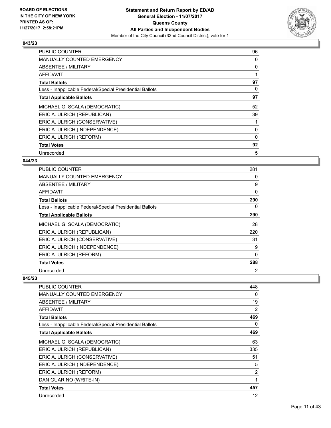

| <b>PUBLIC COUNTER</b>                                    | 96 |
|----------------------------------------------------------|----|
| <b>MANUALLY COUNTED EMERGENCY</b>                        | 0  |
| <b>ABSENTEE / MILITARY</b>                               | 0  |
| AFFIDAVIT                                                |    |
| <b>Total Ballots</b>                                     | 97 |
| Less - Inapplicable Federal/Special Presidential Ballots | 0  |
| <b>Total Applicable Ballots</b>                          | 97 |
| MICHAEL G. SCALA (DEMOCRATIC)                            | 52 |
| ERIC A. ULRICH (REPUBLICAN)                              | 39 |
| ERIC A. ULRICH (CONSERVATIVE)                            |    |
| ERIC A. ULRICH (INDEPENDENCE)                            | 0  |
| ERIC A. ULRICH (REFORM)                                  | 0  |
| <b>Total Votes</b>                                       | 92 |
| Unrecorded                                               | 5  |

## **044/23**

| <b>PUBLIC COUNTER</b>                                    | 281            |
|----------------------------------------------------------|----------------|
| <b>MANUALLY COUNTED EMERGENCY</b>                        | 0              |
| ABSENTEE / MILITARY                                      | 9              |
| AFFIDAVIT                                                | 0              |
| <b>Total Ballots</b>                                     | 290            |
| Less - Inapplicable Federal/Special Presidential Ballots | 0              |
| <b>Total Applicable Ballots</b>                          | 290            |
| MICHAEL G. SCALA (DEMOCRATIC)                            | 28             |
| ERIC A. ULRICH (REPUBLICAN)                              | 220            |
| ERIC A. ULRICH (CONSERVATIVE)                            | 31             |
| ERIC A. ULRICH (INDEPENDENCE)                            | 9              |
| ERIC A. ULRICH (REFORM)                                  | 0              |
| <b>Total Votes</b>                                       | 288            |
| Unrecorded                                               | $\overline{2}$ |

| PUBLIC COUNTER                                           | 448            |
|----------------------------------------------------------|----------------|
| <b>MANUALLY COUNTED EMERGENCY</b>                        | 0              |
| <b>ABSENTEE / MILITARY</b>                               | 19             |
| AFFIDAVIT                                                | 2              |
| <b>Total Ballots</b>                                     | 469            |
| Less - Inapplicable Federal/Special Presidential Ballots | 0              |
| <b>Total Applicable Ballots</b>                          | 469            |
| MICHAEL G. SCALA (DEMOCRATIC)                            | 63             |
| ERIC A. ULRICH (REPUBLICAN)                              | 335            |
| ERIC A. ULRICH (CONSERVATIVE)                            | 51             |
| ERIC A. ULRICH (INDEPENDENCE)                            | 5              |
| ERIC A. ULRICH (REFORM)                                  | $\overline{2}$ |
| DAN GUARINO (WRITE-IN)                                   | 1              |
| <b>Total Votes</b>                                       | 457            |
| Unrecorded                                               | 12             |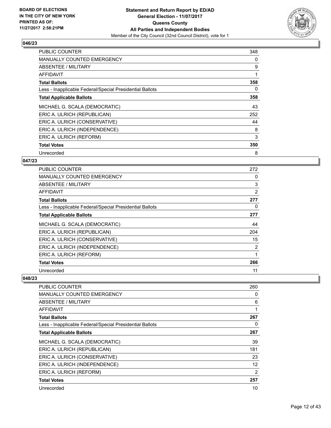

| <b>PUBLIC COUNTER</b>                                    | 348 |
|----------------------------------------------------------|-----|
| <b>MANUALLY COUNTED EMERGENCY</b>                        | 0   |
| ABSENTEE / MILITARY                                      | 9   |
| AFFIDAVIT                                                | 1   |
| <b>Total Ballots</b>                                     | 358 |
| Less - Inapplicable Federal/Special Presidential Ballots | 0   |
| <b>Total Applicable Ballots</b>                          | 358 |
| MICHAEL G. SCALA (DEMOCRATIC)                            | 43  |
| ERIC A. ULRICH (REPUBLICAN)                              | 252 |
| ERIC A. ULRICH (CONSERVATIVE)                            | 44  |
| ERIC A. ULRICH (INDEPENDENCE)                            | 8   |
| ERIC A. ULRICH (REFORM)                                  | 3   |
| <b>Total Votes</b>                                       | 350 |
| Unrecorded                                               | 8   |

## **047/23**

| PUBLIC COUNTER                                           | 272 |
|----------------------------------------------------------|-----|
| <b>MANUALLY COUNTED EMERGENCY</b>                        | 0   |
| ABSENTEE / MILITARY                                      | 3   |
| AFFIDAVIT                                                | 2   |
| <b>Total Ballots</b>                                     | 277 |
| Less - Inapplicable Federal/Special Presidential Ballots | 0   |
| <b>Total Applicable Ballots</b>                          | 277 |
| MICHAEL G. SCALA (DEMOCRATIC)                            | 44  |
| ERIC A. ULRICH (REPUBLICAN)                              | 204 |
| ERIC A. ULRICH (CONSERVATIVE)                            | 15  |
| ERIC A. ULRICH (INDEPENDENCE)                            | 2   |
| ERIC A. ULRICH (REFORM)                                  | 1   |
| <b>Total Votes</b>                                       | 266 |
| Unrecorded                                               | 11  |

| <b>PUBLIC COUNTER</b>                                    | 260 |
|----------------------------------------------------------|-----|
| <b>MANUALLY COUNTED EMERGENCY</b>                        | 0   |
| ABSENTEE / MILITARY                                      | 6   |
| <b>AFFIDAVIT</b>                                         |     |
| <b>Total Ballots</b>                                     | 267 |
| Less - Inapplicable Federal/Special Presidential Ballots | 0   |
| <b>Total Applicable Ballots</b>                          | 267 |
| MICHAEL G. SCALA (DEMOCRATIC)                            | 39  |
| ERIC A. ULRICH (REPUBLICAN)                              | 181 |
| ERIC A. ULRICH (CONSERVATIVE)                            | 23  |
| ERIC A. ULRICH (INDEPENDENCE)                            | 12  |
| ERIC A. ULRICH (REFORM)                                  | 2   |
| <b>Total Votes</b>                                       | 257 |
| Unrecorded                                               | 10  |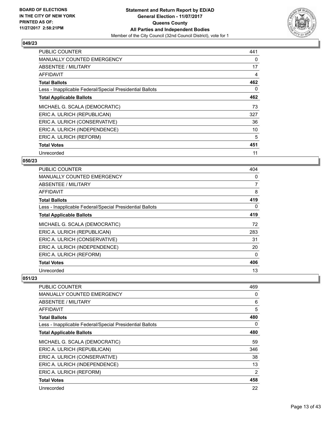

| <b>PUBLIC COUNTER</b>                                    | 441 |
|----------------------------------------------------------|-----|
| <b>MANUALLY COUNTED EMERGENCY</b>                        | 0   |
| ABSENTEE / MILITARY                                      | 17  |
| AFFIDAVIT                                                | 4   |
| <b>Total Ballots</b>                                     | 462 |
| Less - Inapplicable Federal/Special Presidential Ballots | 0   |
| <b>Total Applicable Ballots</b>                          | 462 |
| MICHAEL G. SCALA (DEMOCRATIC)                            | 73  |
| ERIC A. ULRICH (REPUBLICAN)                              | 327 |
| ERIC A. ULRICH (CONSERVATIVE)                            | 36  |
| ERIC A. ULRICH (INDEPENDENCE)                            | 10  |
| ERIC A. ULRICH (REFORM)                                  | 5   |
| <b>Total Votes</b>                                       | 451 |
| Unrecorded                                               | 11  |

## **050/23**

| <b>PUBLIC COUNTER</b>                                    | 404            |
|----------------------------------------------------------|----------------|
| <b>MANUALLY COUNTED EMERGENCY</b>                        | 0              |
| ABSENTEE / MILITARY                                      | $\overline{7}$ |
| AFFIDAVIT                                                | 8              |
| <b>Total Ballots</b>                                     | 419            |
| Less - Inapplicable Federal/Special Presidential Ballots | 0              |
| <b>Total Applicable Ballots</b>                          | 419            |
| MICHAEL G. SCALA (DEMOCRATIC)                            | 72             |
| ERIC A. ULRICH (REPUBLICAN)                              | 283            |
| ERIC A. ULRICH (CONSERVATIVE)                            | 31             |
| ERIC A. ULRICH (INDEPENDENCE)                            | 20             |
| ERIC A. ULRICH (REFORM)                                  | 0              |
| <b>Total Votes</b>                                       | 406            |
| Unrecorded                                               | 13             |

| <b>PUBLIC COUNTER</b>                                    | 469 |
|----------------------------------------------------------|-----|
| <b>MANUALLY COUNTED EMERGENCY</b>                        | 0   |
| ABSENTEE / MILITARY                                      | 6   |
| AFFIDAVIT                                                | 5   |
| <b>Total Ballots</b>                                     | 480 |
| Less - Inapplicable Federal/Special Presidential Ballots | 0   |
| <b>Total Applicable Ballots</b>                          | 480 |
| MICHAEL G. SCALA (DEMOCRATIC)                            | 59  |
| ERIC A. ULRICH (REPUBLICAN)                              | 346 |
| ERIC A. ULRICH (CONSERVATIVE)                            | 38  |
| ERIC A. ULRICH (INDEPENDENCE)                            | 13  |
| ERIC A. ULRICH (REFORM)                                  | 2   |
| <b>Total Votes</b>                                       | 458 |
| Unrecorded                                               | 22  |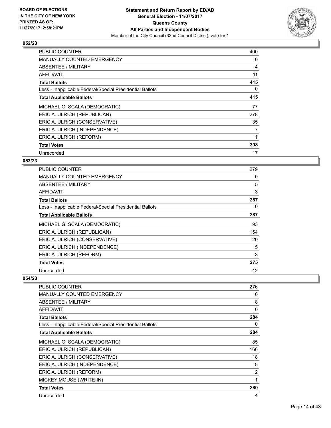

| <b>PUBLIC COUNTER</b>                                    | 400 |
|----------------------------------------------------------|-----|
| <b>MANUALLY COUNTED EMERGENCY</b>                        | 0   |
| ABSENTEE / MILITARY                                      | 4   |
| AFFIDAVIT                                                | 11  |
| <b>Total Ballots</b>                                     | 415 |
| Less - Inapplicable Federal/Special Presidential Ballots | 0   |
| <b>Total Applicable Ballots</b>                          | 415 |
| MICHAEL G. SCALA (DEMOCRATIC)                            | 77  |
| ERIC A. ULRICH (REPUBLICAN)                              | 278 |
| ERIC A. ULRICH (CONSERVATIVE)                            | 35  |
| ERIC A. ULRICH (INDEPENDENCE)                            | 7   |
| ERIC A. ULRICH (REFORM)                                  |     |
| <b>Total Votes</b>                                       | 398 |
|                                                          |     |

## **053/23**

| <b>PUBLIC COUNTER</b>                                    | 279 |
|----------------------------------------------------------|-----|
| <b>MANUALLY COUNTED EMERGENCY</b>                        | 0   |
| ABSENTEE / MILITARY                                      | 5   |
| AFFIDAVIT                                                | 3   |
| <b>Total Ballots</b>                                     | 287 |
| Less - Inapplicable Federal/Special Presidential Ballots | 0   |
| <b>Total Applicable Ballots</b>                          | 287 |
| MICHAEL G. SCALA (DEMOCRATIC)                            | 93  |
| ERIC A. ULRICH (REPUBLICAN)                              | 154 |
| ERIC A. ULRICH (CONSERVATIVE)                            | 20  |
| ERIC A. ULRICH (INDEPENDENCE)                            | 5   |
| ERIC A. ULRICH (REFORM)                                  | 3   |
| <b>Total Votes</b>                                       | 275 |
| Unrecorded                                               | 12  |

| PUBLIC COUNTER                                           | 276            |
|----------------------------------------------------------|----------------|
| <b>MANUALLY COUNTED EMERGENCY</b>                        | 0              |
| ABSENTEE / MILITARY                                      | 8              |
| <b>AFFIDAVIT</b>                                         | 0              |
| <b>Total Ballots</b>                                     | 284            |
| Less - Inapplicable Federal/Special Presidential Ballots | 0              |
| <b>Total Applicable Ballots</b>                          | 284            |
| MICHAEL G. SCALA (DEMOCRATIC)                            | 85             |
| ERIC A. ULRICH (REPUBLICAN)                              | 166            |
| ERIC A. ULRICH (CONSERVATIVE)                            | 18             |
| ERIC A. ULRICH (INDEPENDENCE)                            | 8              |
| ERIC A. ULRICH (REFORM)                                  | $\overline{2}$ |
| MICKEY MOUSE (WRITE-IN)                                  | 1              |
| <b>Total Votes</b>                                       | 280            |
| Unrecorded                                               | 4              |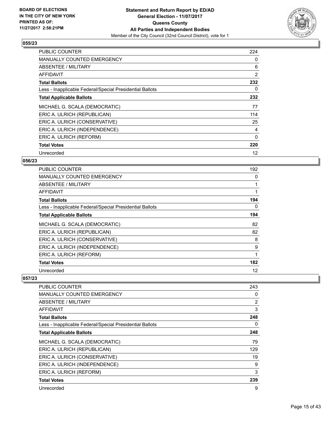

| <b>PUBLIC COUNTER</b>                                    | 224       |
|----------------------------------------------------------|-----------|
| <b>MANUALLY COUNTED EMERGENCY</b>                        | 0         |
| ABSENTEE / MILITARY                                      | 6         |
| AFFIDAVIT                                                | 2         |
| <b>Total Ballots</b>                                     | 232       |
| Less - Inapplicable Federal/Special Presidential Ballots | 0         |
| <b>Total Applicable Ballots</b>                          | 232       |
|                                                          |           |
| MICHAEL G. SCALA (DEMOCRATIC)                            | 77        |
| ERIC A. ULRICH (REPUBLICAN)                              |           |
| ERIC A. ULRICH (CONSERVATIVE)                            | 114<br>25 |
| ERIC A. ULRICH (INDEPENDENCE)                            | 4         |
| ERIC A. ULRICH (REFORM)                                  | $\Omega$  |
| <b>Total Votes</b>                                       | 220       |

## **056/23**

| <b>PUBLIC COUNTER</b>                                    | 192 |
|----------------------------------------------------------|-----|
| <b>MANUALLY COUNTED EMERGENCY</b>                        | 0   |
| ABSENTEE / MILITARY                                      |     |
| AFFIDAVIT                                                |     |
| <b>Total Ballots</b>                                     | 194 |
| Less - Inapplicable Federal/Special Presidential Ballots | 0   |
| <b>Total Applicable Ballots</b>                          | 194 |
| MICHAEL G. SCALA (DEMOCRATIC)                            | 82  |
| ERIC A. ULRICH (REPUBLICAN)                              | 82  |
| ERIC A. ULRICH (CONSERVATIVE)                            | 8   |
| ERIC A. ULRICH (INDEPENDENCE)                            | 9   |
| ERIC A. ULRICH (REFORM)                                  |     |
| <b>Total Votes</b>                                       | 182 |
| Unrecorded                                               | 12  |

| <b>PUBLIC COUNTER</b>                                    | 243 |
|----------------------------------------------------------|-----|
| <b>MANUALLY COUNTED EMERGENCY</b>                        | 0   |
| ABSENTEE / MILITARY                                      | 2   |
| AFFIDAVIT                                                | 3   |
| <b>Total Ballots</b>                                     | 248 |
| Less - Inapplicable Federal/Special Presidential Ballots | 0   |
| <b>Total Applicable Ballots</b>                          | 248 |
| MICHAEL G. SCALA (DEMOCRATIC)                            | 79  |
| ERIC A. ULRICH (REPUBLICAN)                              | 129 |
| ERIC A. ULRICH (CONSERVATIVE)                            | 19  |
| ERIC A. ULRICH (INDEPENDENCE)                            | 9   |
| ERIC A. ULRICH (REFORM)                                  | 3   |
| <b>Total Votes</b>                                       | 239 |
| Unrecorded                                               | 9   |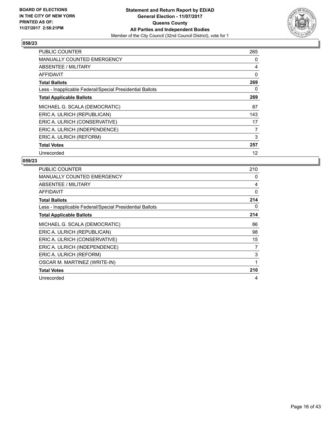

| PUBLIC COUNTER                                           | 265 |
|----------------------------------------------------------|-----|
| <b>MANUALLY COUNTED EMERGENCY</b>                        | 0   |
| <b>ABSENTEE / MILITARY</b>                               | 4   |
| <b>AFFIDAVIT</b>                                         | 0   |
| <b>Total Ballots</b>                                     | 269 |
| Less - Inapplicable Federal/Special Presidential Ballots | 0   |
| <b>Total Applicable Ballots</b>                          | 269 |
| MICHAEL G. SCALA (DEMOCRATIC)                            | 87  |
| ERIC A. ULRICH (REPUBLICAN)                              | 143 |
| ERIC A. ULRICH (CONSERVATIVE)                            | 17  |
| ERIC A. ULRICH (INDEPENDENCE)                            | 7   |
| ERIC A. ULRICH (REFORM)                                  | 3   |
| <b>Total Votes</b>                                       | 257 |
| Unrecorded                                               | 12  |

| <b>PUBLIC COUNTER</b>                                    | 210 |
|----------------------------------------------------------|-----|
| <b>MANUALLY COUNTED EMERGENCY</b>                        | 0   |
| <b>ABSENTEE / MILITARY</b>                               | 4   |
| <b>AFFIDAVIT</b>                                         | 0   |
| <b>Total Ballots</b>                                     | 214 |
| Less - Inapplicable Federal/Special Presidential Ballots | 0   |
| <b>Total Applicable Ballots</b>                          | 214 |
| MICHAEL G. SCALA (DEMOCRATIC)                            | 86  |
| ERIC A. ULRICH (REPUBLICAN)                              | 98  |
| ERIC A. ULRICH (CONSERVATIVE)                            | 15  |
| ERIC A. ULRICH (INDEPENDENCE)                            | 7   |
| ERIC A. ULRICH (REFORM)                                  | 3   |
| OSCAR M. MARTINEZ (WRITE-IN)                             | 1   |
| <b>Total Votes</b>                                       | 210 |
| Unrecorded                                               | 4   |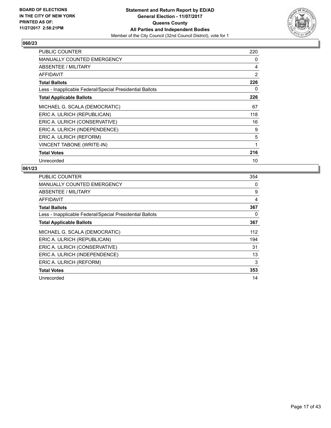

| <b>PUBLIC COUNTER</b>                                    | 220 |
|----------------------------------------------------------|-----|
| <b>MANUALLY COUNTED EMERGENCY</b>                        | 0   |
| ABSENTEE / MILITARY                                      | 4   |
| AFFIDAVIT                                                | 2   |
| <b>Total Ballots</b>                                     | 226 |
| Less - Inapplicable Federal/Special Presidential Ballots | 0   |
| <b>Total Applicable Ballots</b>                          | 226 |
| MICHAEL G. SCALA (DEMOCRATIC)                            | 67  |
| ERIC A. ULRICH (REPUBLICAN)                              | 118 |
| ERIC A. ULRICH (CONSERVATIVE)                            | 16  |
| ERIC A. ULRICH (INDEPENDENCE)                            | 9   |
| ERIC A. ULRICH (REFORM)                                  | 5   |
| <b>VINCENT TABONE (WRITE-IN)</b>                         | 1   |
| <b>Total Votes</b>                                       | 216 |
| Unrecorded                                               | 10  |

| <b>PUBLIC COUNTER</b>                                    | 354 |
|----------------------------------------------------------|-----|
| <b>MANUALLY COUNTED EMERGENCY</b>                        | 0   |
| <b>ABSENTEE / MILITARY</b>                               | 9   |
| AFFIDAVIT                                                | 4   |
| <b>Total Ballots</b>                                     | 367 |
| Less - Inapplicable Federal/Special Presidential Ballots | 0   |
| <b>Total Applicable Ballots</b>                          | 367 |
| MICHAEL G. SCALA (DEMOCRATIC)                            | 112 |
| ERIC A. ULRICH (REPUBLICAN)                              | 194 |
| ERIC A. ULRICH (CONSERVATIVE)                            | 31  |
| ERIC A. ULRICH (INDEPENDENCE)                            | 13  |
| ERIC A. ULRICH (REFORM)                                  | 3   |
| <b>Total Votes</b>                                       | 353 |
| Unrecorded                                               | 14  |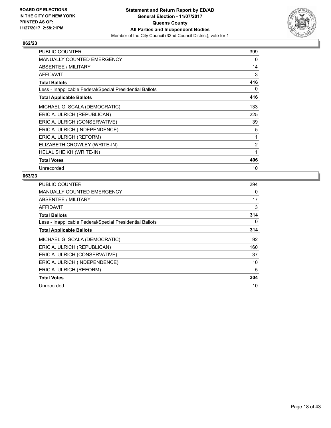

| <b>PUBLIC COUNTER</b>                                    | 399 |
|----------------------------------------------------------|-----|
| <b>MANUALLY COUNTED EMERGENCY</b>                        | 0   |
| ABSENTEE / MILITARY                                      | 14  |
| <b>AFFIDAVIT</b>                                         | 3   |
| <b>Total Ballots</b>                                     | 416 |
| Less - Inapplicable Federal/Special Presidential Ballots | 0   |
| <b>Total Applicable Ballots</b>                          | 416 |
| MICHAEL G. SCALA (DEMOCRATIC)                            | 133 |
| ERIC A. ULRICH (REPUBLICAN)                              | 225 |
| ERIC A. ULRICH (CONSERVATIVE)                            | 39  |
| ERIC A. ULRICH (INDEPENDENCE)                            | 5   |
| ERIC A. ULRICH (REFORM)                                  | 1   |
| ELIZABETH CROWLEY (WRITE-IN)                             | 2   |
| <b>HELAL SHEIKH (WRITE-IN)</b>                           | 1   |
| <b>Total Votes</b>                                       | 406 |
| Unrecorded                                               | 10  |

| <b>PUBLIC COUNTER</b>                                    | 294 |
|----------------------------------------------------------|-----|
| MANUALLY COUNTED EMERGENCY                               | 0   |
| <b>ABSENTEE / MILITARY</b>                               | 17  |
| AFFIDAVIT                                                | 3   |
| <b>Total Ballots</b>                                     | 314 |
| Less - Inapplicable Federal/Special Presidential Ballots | 0   |
| <b>Total Applicable Ballots</b>                          | 314 |
| MICHAEL G. SCALA (DEMOCRATIC)                            | 92  |
| ERIC A. ULRICH (REPUBLICAN)                              | 160 |
| ERIC A. ULRICH (CONSERVATIVE)                            | 37  |
| ERIC A. ULRICH (INDEPENDENCE)                            | 10  |
| ERIC A. ULRICH (REFORM)                                  | 5   |
|                                                          |     |
| <b>Total Votes</b>                                       | 304 |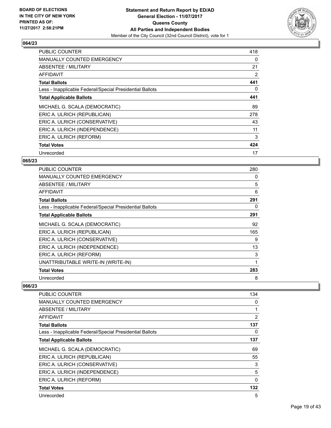

| <b>PUBLIC COUNTER</b>                                    | 418 |
|----------------------------------------------------------|-----|
| <b>MANUALLY COUNTED EMERGENCY</b>                        | 0   |
| ABSENTEE / MILITARY                                      | 21  |
| <b>AFFIDAVIT</b>                                         | 2   |
| <b>Total Ballots</b>                                     | 441 |
| Less - Inapplicable Federal/Special Presidential Ballots | 0   |
| <b>Total Applicable Ballots</b>                          | 441 |
| MICHAEL G. SCALA (DEMOCRATIC)                            | 89  |
| ERIC A. ULRICH (REPUBLICAN)                              | 278 |
| ERIC A. ULRICH (CONSERVATIVE)                            | 43  |
| ERIC A. ULRICH (INDEPENDENCE)                            | 11  |
| ERIC A. ULRICH (REFORM)                                  | 3   |
| <b>Total Votes</b>                                       | 424 |
| Unrecorded                                               | 17  |

## **065/23**

| <b>PUBLIC COUNTER</b>                                    | 280 |
|----------------------------------------------------------|-----|
| <b>MANUALLY COUNTED EMERGENCY</b>                        | 0   |
| ABSENTEE / MILITARY                                      | 5   |
| AFFIDAVIT                                                | 6   |
| <b>Total Ballots</b>                                     | 291 |
| Less - Inapplicable Federal/Special Presidential Ballots | 0   |
| <b>Total Applicable Ballots</b>                          | 291 |
| MICHAEL G. SCALA (DEMOCRATIC)                            | 92  |
| ERIC A. ULRICH (REPUBLICAN)                              | 165 |
| ERIC A. ULRICH (CONSERVATIVE)                            | 9   |
| ERIC A. ULRICH (INDEPENDENCE)                            | 13  |
| ERIC A. ULRICH (REFORM)                                  | 3   |
| UNATTRIBUTABLE WRITE-IN (WRITE-IN)                       | 1   |
| <b>Total Votes</b>                                       | 283 |
| Unrecorded                                               | 8   |

| PUBLIC COUNTER                                           | 134      |
|----------------------------------------------------------|----------|
| <b>MANUALLY COUNTED EMERGENCY</b>                        | 0        |
| ABSENTEE / MILITARY                                      | 1        |
| AFFIDAVIT                                                | 2        |
| <b>Total Ballots</b>                                     | 137      |
| Less - Inapplicable Federal/Special Presidential Ballots | 0        |
| <b>Total Applicable Ballots</b>                          | 137      |
| MICHAEL G. SCALA (DEMOCRATIC)                            | 69       |
| ERIC A. ULRICH (REPUBLICAN)                              | 55       |
| ERIC A. ULRICH (CONSERVATIVE)                            | 3        |
| ERIC A. ULRICH (INDEPENDENCE)                            | 5        |
| ERIC A. ULRICH (REFORM)                                  | $\Omega$ |
| <b>Total Votes</b>                                       | 132      |
| Unrecorded                                               | 5        |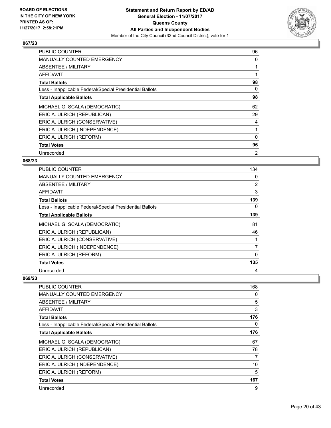

| <b>PUBLIC COUNTER</b>                                    | 96             |
|----------------------------------------------------------|----------------|
| <b>MANUALLY COUNTED EMERGENCY</b>                        | 0              |
| <b>ABSENTEE / MILITARY</b>                               |                |
| AFFIDAVIT                                                |                |
| <b>Total Ballots</b>                                     | 98             |
| Less - Inapplicable Federal/Special Presidential Ballots | 0              |
| <b>Total Applicable Ballots</b>                          | 98             |
| MICHAEL G. SCALA (DEMOCRATIC)                            | 62             |
| ERIC A. ULRICH (REPUBLICAN)                              | 29             |
| ERIC A. ULRICH (CONSERVATIVE)                            | 4              |
| ERIC A. ULRICH (INDEPENDENCE)                            |                |
| ERIC A. ULRICH (REFORM)                                  | 0              |
| <b>Total Votes</b>                                       | 96             |
| Unrecorded                                               | $\overline{2}$ |

## **068/23**

| <b>PUBLIC COUNTER</b>                                    | 134            |
|----------------------------------------------------------|----------------|
| <b>MANUALLY COUNTED EMERGENCY</b>                        | 0              |
| ABSENTEE / MILITARY                                      | $\overline{2}$ |
| <b>AFFIDAVIT</b>                                         | 3              |
| <b>Total Ballots</b>                                     | 139            |
| Less - Inapplicable Federal/Special Presidential Ballots | 0              |
| <b>Total Applicable Ballots</b>                          | 139            |
| MICHAEL G. SCALA (DEMOCRATIC)                            | 81             |
| ERIC A. ULRICH (REPUBLICAN)                              | 46             |
| ERIC A. ULRICH (CONSERVATIVE)                            |                |
| ERIC A. ULRICH (INDEPENDENCE)                            | 7              |
| ERIC A. ULRICH (REFORM)                                  | $\Omega$       |
| <b>Total Votes</b>                                       | 135            |
| Unrecorded                                               | 4              |

| <b>PUBLIC COUNTER</b>                                    | 168 |
|----------------------------------------------------------|-----|
| <b>MANUALLY COUNTED EMERGENCY</b>                        | 0   |
| ABSENTEE / MILITARY                                      | 5   |
| <b>AFFIDAVIT</b>                                         | 3   |
| <b>Total Ballots</b>                                     | 176 |
| Less - Inapplicable Federal/Special Presidential Ballots | 0   |
| <b>Total Applicable Ballots</b>                          | 176 |
| MICHAEL G. SCALA (DEMOCRATIC)                            | 67  |
| ERIC A. ULRICH (REPUBLICAN)                              | 78  |
| ERIC A. ULRICH (CONSERVATIVE)                            | 7   |
| ERIC A. ULRICH (INDEPENDENCE)                            | 10  |
| ERIC A. ULRICH (REFORM)                                  | 5   |
| <b>Total Votes</b>                                       | 167 |
| Unrecorded                                               | 9   |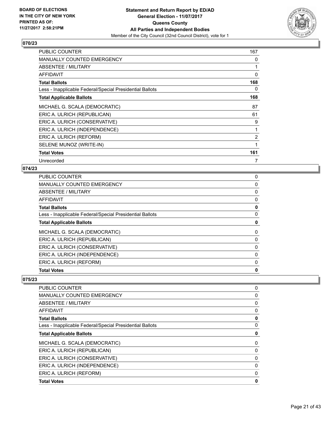

| <b>PUBLIC COUNTER</b>                                    | 167            |
|----------------------------------------------------------|----------------|
| <b>MANUALLY COUNTED EMERGENCY</b>                        | 0              |
| ABSENTEE / MILITARY                                      |                |
| <b>AFFIDAVIT</b>                                         | 0              |
| <b>Total Ballots</b>                                     | 168            |
| Less - Inapplicable Federal/Special Presidential Ballots | 0              |
| <b>Total Applicable Ballots</b>                          | 168            |
| MICHAEL G. SCALA (DEMOCRATIC)                            | 87             |
| ERIC A. ULRICH (REPUBLICAN)                              | 61             |
| ERIC A. ULRICH (CONSERVATIVE)                            | 9              |
| ERIC A. ULRICH (INDEPENDENCE)                            |                |
| ERIC A. ULRICH (REFORM)                                  | $\overline{2}$ |
| SELENE MUNOZ (WRITE-IN)                                  | 1              |
| <b>Total Votes</b>                                       | 161            |
| Unrecorded                                               | 7              |

## **074/23**

| <b>PUBLIC COUNTER</b>                                    | 0 |
|----------------------------------------------------------|---|
| <b>MANUALLY COUNTED EMERGENCY</b>                        | 0 |
| ABSENTEE / MILITARY                                      | 0 |
| AFFIDAVIT                                                | 0 |
| <b>Total Ballots</b>                                     | 0 |
| Less - Inapplicable Federal/Special Presidential Ballots | 0 |
| <b>Total Applicable Ballots</b>                          | 0 |
| MICHAEL G. SCALA (DEMOCRATIC)                            | 0 |
| ERIC A. ULRICH (REPUBLICAN)                              | 0 |
| ERIC A. ULRICH (CONSERVATIVE)                            | 0 |
| ERIC A. ULRICH (INDEPENDENCE)                            | 0 |
| ERIC A. ULRICH (REFORM)                                  | 0 |
| <b>Total Votes</b>                                       | 0 |
|                                                          |   |

| <b>PUBLIC COUNTER</b>                                    | 0 |
|----------------------------------------------------------|---|
| <b>MANUALLY COUNTED EMERGENCY</b>                        | 0 |
| ABSENTEE / MILITARY                                      | 0 |
| <b>AFFIDAVIT</b>                                         | 0 |
| <b>Total Ballots</b>                                     | 0 |
| Less - Inapplicable Federal/Special Presidential Ballots | 0 |
| <b>Total Applicable Ballots</b>                          | 0 |
| MICHAEL G. SCALA (DEMOCRATIC)                            | 0 |
| ERIC A. ULRICH (REPUBLICAN)                              | 0 |
| ERIC A. ULRICH (CONSERVATIVE)                            | 0 |
| ERIC A. ULRICH (INDEPENDENCE)                            | 0 |
| ERIC A. ULRICH (REFORM)                                  | 0 |
| <b>Total Votes</b>                                       | 0 |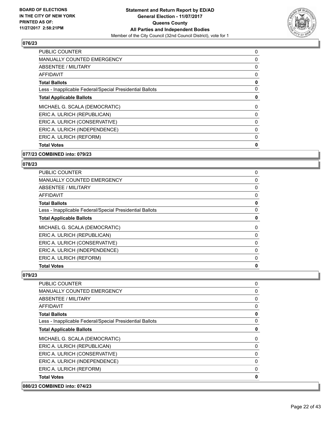

| 0 |
|---|
| 0 |
| 0 |
| 0 |
| 0 |
| 0 |
| 0 |
| 0 |
| 0 |
| 0 |
| 0 |
| 0 |
| 0 |
|   |

## **077/23 COMBINED into: 079/23**

#### **078/23**

| <b>PUBLIC COUNTER</b>                                    | 0 |
|----------------------------------------------------------|---|
| <b>MANUALLY COUNTED EMERGENCY</b>                        | 0 |
| <b>ABSENTEE / MILITARY</b>                               | 0 |
| <b>AFFIDAVIT</b>                                         | 0 |
| <b>Total Ballots</b>                                     | 0 |
| Less - Inapplicable Federal/Special Presidential Ballots | 0 |
| <b>Total Applicable Ballots</b>                          | 0 |
| MICHAEL G. SCALA (DEMOCRATIC)                            | 0 |
| ERIC A. ULRICH (REPUBLICAN)                              | 0 |
| ERIC A. ULRICH (CONSERVATIVE)                            | 0 |
| ERIC A. ULRICH (INDEPENDENCE)                            | 0 |
| ERIC A. ULRICH (REFORM)                                  | 0 |
| <b>Total Votes</b>                                       | 0 |

| 080/23 COMBINED into: 074/23 |                                                          |             |
|------------------------------|----------------------------------------------------------|-------------|
| <b>Total Votes</b>           |                                                          | $\mathbf 0$ |
|                              | ERIC A. ULRICH (REFORM)                                  | 0           |
|                              | ERIC A. ULRICH (INDEPENDENCE)                            | 0           |
|                              | ERIC A. ULRICH (CONSERVATIVE)                            | 0           |
|                              | ERIC A. ULRICH (REPUBLICAN)                              | 0           |
|                              | MICHAEL G. SCALA (DEMOCRATIC)                            | 0           |
|                              | <b>Total Applicable Ballots</b>                          | $\mathbf 0$ |
|                              | Less - Inapplicable Federal/Special Presidential Ballots | 0           |
| <b>Total Ballots</b>         |                                                          | $\mathbf 0$ |
| <b>AFFIDAVIT</b>             |                                                          | 0           |
|                              | <b>ABSENTEE / MILITARY</b>                               | 0           |
|                              | <b>MANUALLY COUNTED EMERGENCY</b>                        | 0           |
| <b>PUBLIC COUNTER</b>        |                                                          | 0           |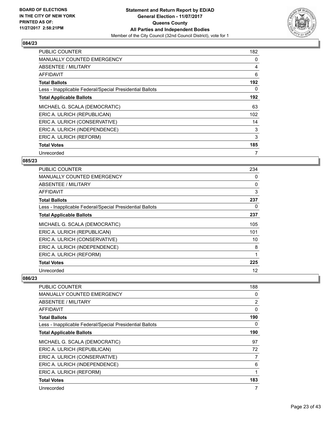

| <b>PUBLIC COUNTER</b>                                    | 182 |
|----------------------------------------------------------|-----|
| <b>MANUALLY COUNTED EMERGENCY</b>                        | 0   |
| <b>ABSENTEE / MILITARY</b>                               | 4   |
| AFFIDAVIT                                                | 6   |
| <b>Total Ballots</b>                                     | 192 |
| Less - Inapplicable Federal/Special Presidential Ballots | 0   |
| <b>Total Applicable Ballots</b>                          | 192 |
| MICHAEL G. SCALA (DEMOCRATIC)                            | 63  |
| ERIC A. ULRICH (REPUBLICAN)                              | 102 |
| ERIC A. ULRICH (CONSERVATIVE)                            | 14  |
| ERIC A. ULRICH (INDEPENDENCE)                            | 3   |
| ERIC A. ULRICH (REFORM)                                  | 3   |
| <b>Total Votes</b>                                       | 185 |
| Unrecorded                                               | 7   |

## **085/23**

| <b>PUBLIC COUNTER</b>                                    | 234 |
|----------------------------------------------------------|-----|
| <b>MANUALLY COUNTED EMERGENCY</b>                        | 0   |
| ABSENTEE / MILITARY                                      | 0   |
| AFFIDAVIT                                                | 3   |
| <b>Total Ballots</b>                                     | 237 |
| Less - Inapplicable Federal/Special Presidential Ballots | 0   |
| <b>Total Applicable Ballots</b>                          | 237 |
| MICHAEL G. SCALA (DEMOCRATIC)                            | 105 |
| ERIC A. ULRICH (REPUBLICAN)                              | 101 |
| ERIC A. ULRICH (CONSERVATIVE)                            | 10  |
| ERIC A. ULRICH (INDEPENDENCE)                            | 8   |
| ERIC A. ULRICH (REFORM)                                  | 1   |
| <b>Total Votes</b>                                       | 225 |
| Unrecorded                                               | 12  |

| <b>PUBLIC COUNTER</b>                                    | 188 |
|----------------------------------------------------------|-----|
| <b>MANUALLY COUNTED EMERGENCY</b>                        | 0   |
| ABSENTEE / MILITARY                                      | 2   |
| AFFIDAVIT                                                | 0   |
| <b>Total Ballots</b>                                     | 190 |
| Less - Inapplicable Federal/Special Presidential Ballots | 0   |
| <b>Total Applicable Ballots</b>                          | 190 |
| MICHAEL G. SCALA (DEMOCRATIC)                            | 97  |
| ERIC A. ULRICH (REPUBLICAN)                              | 72  |
| ERIC A. ULRICH (CONSERVATIVE)                            | 7   |
| ERIC A. ULRICH (INDEPENDENCE)                            | 6   |
| ERIC A. ULRICH (REFORM)                                  | 1   |
| <b>Total Votes</b>                                       | 183 |
| Unrecorded                                               | 7   |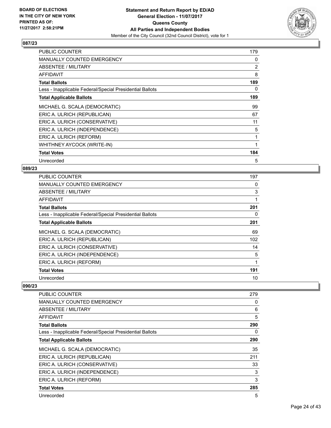

| <b>PUBLIC COUNTER</b>                                    | 179            |
|----------------------------------------------------------|----------------|
| <b>MANUALLY COUNTED EMERGENCY</b>                        | 0              |
| ABSENTEE / MILITARY                                      | $\overline{2}$ |
| AFFIDAVIT                                                | 8              |
| <b>Total Ballots</b>                                     | 189            |
| Less - Inapplicable Federal/Special Presidential Ballots | 0              |
| <b>Total Applicable Ballots</b>                          | 189            |
| MICHAEL G. SCALA (DEMOCRATIC)                            | 99             |
| ERIC A. ULRICH (REPUBLICAN)                              | 67             |
| ERIC A. ULRICH (CONSERVATIVE)                            | 11             |
| ERIC A. ULRICH (INDEPENDENCE)                            | 5              |
| ERIC A. ULRICH (REFORM)                                  | 1              |
| WHITHNEY AYCOCK (WRITE-IN)                               | 1              |
| <b>Total Votes</b>                                       | 184            |
| Unrecorded                                               | 5              |

#### **089/23**

| <b>PUBLIC COUNTER</b>                                    | 197 |
|----------------------------------------------------------|-----|
| <b>MANUALLY COUNTED EMERGENCY</b>                        | 0   |
| ABSENTEE / MILITARY                                      | 3   |
| AFFIDAVIT                                                |     |
| <b>Total Ballots</b>                                     | 201 |
| Less - Inapplicable Federal/Special Presidential Ballots | 0   |
| <b>Total Applicable Ballots</b>                          | 201 |
| MICHAEL G. SCALA (DEMOCRATIC)                            | 69  |
| ERIC A. ULRICH (REPUBLICAN)                              | 102 |
| ERIC A. ULRICH (CONSERVATIVE)                            | 14  |
| ERIC A. ULRICH (INDEPENDENCE)                            | 5   |
| ERIC A. ULRICH (REFORM)                                  | 1   |
| <b>Total Votes</b>                                       | 191 |
| Unrecorded                                               | 10  |

| PUBLIC COUNTER                                           | 279 |
|----------------------------------------------------------|-----|
| <b>MANUALLY COUNTED EMERGENCY</b>                        | 0   |
| ABSENTEE / MILITARY                                      | 6   |
| AFFIDAVIT                                                | 5   |
| <b>Total Ballots</b>                                     | 290 |
| Less - Inapplicable Federal/Special Presidential Ballots | 0   |
| <b>Total Applicable Ballots</b>                          | 290 |
| MICHAEL G. SCALA (DEMOCRATIC)                            | 35  |
| ERIC A. ULRICH (REPUBLICAN)                              | 211 |
| ERIC A. ULRICH (CONSERVATIVE)                            | 33  |
| ERIC A. ULRICH (INDEPENDENCE)                            | 3   |
| ERIC A. ULRICH (REFORM)                                  | 3   |
| <b>Total Votes</b>                                       | 285 |
| Unrecorded                                               | 5   |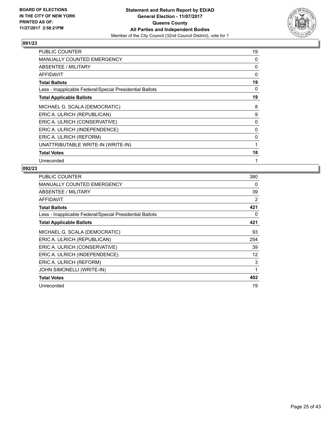

| <b>PUBLIC COUNTER</b>                                    | 19           |
|----------------------------------------------------------|--------------|
| <b>MANUALLY COUNTED EMERGENCY</b>                        | 0            |
| ABSENTEE / MILITARY                                      | 0            |
| <b>AFFIDAVIT</b>                                         | 0            |
| <b>Total Ballots</b>                                     | 19           |
| Less - Inapplicable Federal/Special Presidential Ballots | 0            |
| <b>Total Applicable Ballots</b>                          | 19           |
| MICHAEL G. SCALA (DEMOCRATIC)                            | 8            |
| ERIC A. ULRICH (REPUBLICAN)                              | 9            |
| ERIC A. ULRICH (CONSERVATIVE)                            | 0            |
| ERIC A. ULRICH (INDEPENDENCE)                            | 0            |
| ERIC A. ULRICH (REFORM)                                  | 0            |
| UNATTRIBUTABLE WRITE-IN (WRITE-IN)                       | $\mathbf{1}$ |
| <b>Total Votes</b>                                       | 18           |
| Unrecorded                                               | 1            |

| <b>PUBLIC COUNTER</b>                                    | 380          |
|----------------------------------------------------------|--------------|
| <b>MANUALLY COUNTED EMERGENCY</b>                        | 0            |
| ABSENTEE / MILITARY                                      | 39           |
| <b>AFFIDAVIT</b>                                         | 2            |
| <b>Total Ballots</b>                                     | 421          |
| Less - Inapplicable Federal/Special Presidential Ballots | 0            |
| <b>Total Applicable Ballots</b>                          | 421          |
| MICHAEL G. SCALA (DEMOCRATIC)                            | 93           |
| ERIC A. ULRICH (REPUBLICAN)                              | 254          |
| ERIC A. ULRICH (CONSERVATIVE)                            | 39           |
| ERIC A. ULRICH (INDEPENDENCE)                            | 12           |
| ERIC A. ULRICH (REFORM)                                  | 3            |
| JOHN SIMONELLI (WRITE-IN)                                | $\mathbf{1}$ |
| <b>Total Votes</b>                                       | 402          |
| Unrecorded                                               | 19           |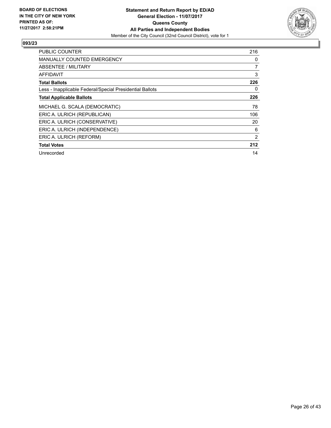

| <b>PUBLIC COUNTER</b>                                    | 216 |
|----------------------------------------------------------|-----|
| <b>MANUALLY COUNTED EMERGENCY</b>                        | 0   |
| <b>ABSENTEE / MILITARY</b>                               | 7   |
| AFFIDAVIT                                                | 3   |
| <b>Total Ballots</b>                                     | 226 |
| Less - Inapplicable Federal/Special Presidential Ballots | 0   |
| <b>Total Applicable Ballots</b>                          | 226 |
| MICHAEL G. SCALA (DEMOCRATIC)                            | 78  |
| ERIC A. ULRICH (REPUBLICAN)                              | 106 |
| ERIC A. ULRICH (CONSERVATIVE)                            | 20  |
| ERIC A. ULRICH (INDEPENDENCE)                            | 6   |
| ERIC A. ULRICH (REFORM)                                  | 2   |
| <b>Total Votes</b>                                       | 212 |
| Unrecorded                                               | 14  |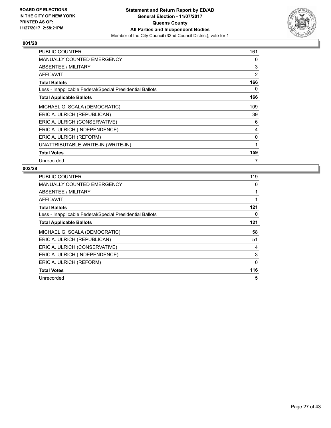

| <b>PUBLIC COUNTER</b>                                    | 161          |
|----------------------------------------------------------|--------------|
| MANUALLY COUNTED EMERGENCY                               | 0            |
| ABSENTEE / MILITARY                                      | 3            |
| <b>AFFIDAVIT</b>                                         | 2            |
| <b>Total Ballots</b>                                     | 166          |
| Less - Inapplicable Federal/Special Presidential Ballots | 0            |
| <b>Total Applicable Ballots</b>                          | 166          |
| MICHAEL G. SCALA (DEMOCRATIC)                            | 109          |
| ERIC A. ULRICH (REPUBLICAN)                              | 39           |
| ERIC A. ULRICH (CONSERVATIVE)                            | 6            |
| ERIC A. ULRICH (INDEPENDENCE)                            | 4            |
| ERIC A. ULRICH (REFORM)                                  | 0            |
| UNATTRIBUTABLE WRITE-IN (WRITE-IN)                       | $\mathbf{1}$ |
| <b>Total Votes</b>                                       | 159          |
| Unrecorded                                               | 7            |

| <b>PUBLIC COUNTER</b>                                    | 119 |
|----------------------------------------------------------|-----|
| <b>MANUALLY COUNTED EMERGENCY</b>                        | 0   |
| <b>ABSENTEE / MILITARY</b>                               |     |
| AFFIDAVIT                                                |     |
| <b>Total Ballots</b>                                     | 121 |
| Less - Inapplicable Federal/Special Presidential Ballots | 0   |
| <b>Total Applicable Ballots</b>                          | 121 |
| MICHAEL G. SCALA (DEMOCRATIC)                            | 58  |
| ERIC A. ULRICH (REPUBLICAN)                              | 51  |
| ERIC A. ULRICH (CONSERVATIVE)                            | 4   |
|                                                          |     |
| ERIC A. ULRICH (INDEPENDENCE)                            | 3   |
| ERIC A. ULRICH (REFORM)                                  | 0   |
| <b>Total Votes</b>                                       | 116 |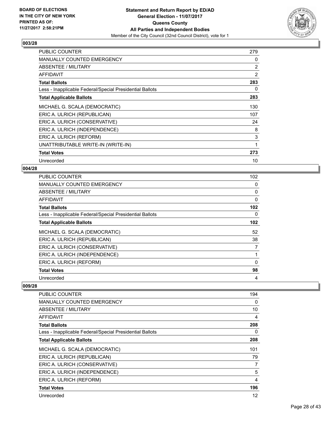

| <b>PUBLIC COUNTER</b>                                    | 279 |
|----------------------------------------------------------|-----|
| <b>MANUALLY COUNTED EMERGENCY</b>                        | 0   |
| ABSENTEE / MILITARY                                      | 2   |
| AFFIDAVIT                                                | 2   |
| <b>Total Ballots</b>                                     | 283 |
| Less - Inapplicable Federal/Special Presidential Ballots | 0   |
| <b>Total Applicable Ballots</b>                          | 283 |
| MICHAEL G. SCALA (DEMOCRATIC)                            | 130 |
| ERIC A. ULRICH (REPUBLICAN)                              | 107 |
| ERIC A. ULRICH (CONSERVATIVE)                            | 24  |
| ERIC A. ULRICH (INDEPENDENCE)                            | 8   |
| ERIC A. ULRICH (REFORM)                                  | 3   |
| UNATTRIBUTABLE WRITE-IN (WRITE-IN)                       | 1   |
| <b>Total Votes</b>                                       | 273 |
| Unrecorded                                               | 10  |

## **004/28**

| <b>PUBLIC COUNTER</b>                                    | 102              |
|----------------------------------------------------------|------------------|
| MANUALLY COUNTED EMERGENCY                               | 0                |
| ABSENTEE / MILITARY                                      | 0                |
| AFFIDAVIT                                                | 0                |
| <b>Total Ballots</b>                                     | 102 <sub>2</sub> |
| Less - Inapplicable Federal/Special Presidential Ballots | 0                |
| <b>Total Applicable Ballots</b>                          | 102 <sub>2</sub> |
| MICHAEL G. SCALA (DEMOCRATIC)                            | 52               |
| ERIC A. ULRICH (REPUBLICAN)                              | 38               |
| ERIC A. ULRICH (CONSERVATIVE)                            | 7                |
| ERIC A. ULRICH (INDEPENDENCE)                            |                  |
| ERIC A. ULRICH (REFORM)                                  | $\Omega$         |
| <b>Total Votes</b>                                       | 98               |
| Unrecorded                                               | 4                |

| PUBLIC COUNTER                                           | 194 |
|----------------------------------------------------------|-----|
| MANUALLY COUNTED EMERGENCY                               | 0   |
| ABSENTEE / MILITARY                                      | 10  |
| <b>AFFIDAVIT</b>                                         | 4   |
| <b>Total Ballots</b>                                     | 208 |
| Less - Inapplicable Federal/Special Presidential Ballots | 0   |
| <b>Total Applicable Ballots</b>                          | 208 |
| MICHAEL G. SCALA (DEMOCRATIC)                            | 101 |
| ERIC A. ULRICH (REPUBLICAN)                              | 79  |
| ERIC A. ULRICH (CONSERVATIVE)                            | 7   |
| ERIC A. ULRICH (INDEPENDENCE)                            | 5   |
| ERIC A. ULRICH (REFORM)                                  | 4   |
| <b>Total Votes</b>                                       | 196 |
| Unrecorded                                               | 12  |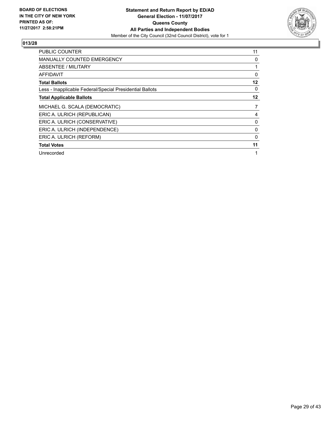

| <b>PUBLIC COUNTER</b>                                    | 11 |
|----------------------------------------------------------|----|
| <b>MANUALLY COUNTED EMERGENCY</b>                        | 0  |
| ABSENTEE / MILITARY                                      | 1  |
| AFFIDAVIT                                                | 0  |
| <b>Total Ballots</b>                                     | 12 |
| Less - Inapplicable Federal/Special Presidential Ballots | 0  |
| <b>Total Applicable Ballots</b>                          | 12 |
| MICHAEL G. SCALA (DEMOCRATIC)                            | 7  |
|                                                          |    |
| ERIC A. ULRICH (REPUBLICAN)                              | 4  |
| ERIC A. ULRICH (CONSERVATIVE)                            | 0  |
| ERIC A. ULRICH (INDEPENDENCE)                            | 0  |
| ERIC A. ULRICH (REFORM)                                  | 0  |
| <b>Total Votes</b>                                       | 11 |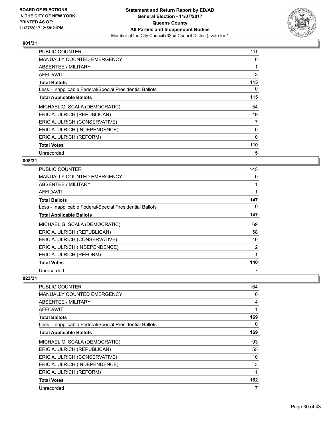

| <b>PUBLIC COUNTER</b>                                    | 111 |
|----------------------------------------------------------|-----|
| <b>MANUALLY COUNTED EMERGENCY</b>                        | 0   |
| <b>ABSENTEE / MILITARY</b>                               |     |
| <b>AFFIDAVIT</b>                                         | 3   |
| <b>Total Ballots</b>                                     | 115 |
| Less - Inapplicable Federal/Special Presidential Ballots | 0   |
| <b>Total Applicable Ballots</b>                          | 115 |
| MICHAEL G. SCALA (DEMOCRATIC)                            | 54  |
|                                                          |     |
| ERIC A. ULRICH (REPUBLICAN)                              | 49  |
| ERIC A. ULRICH (CONSERVATIVE)                            | 7   |
| ERIC A. ULRICH (INDEPENDENCE)                            | 0   |
| ERIC A. ULRICH (REFORM)                                  | 0   |
| <b>Total Votes</b>                                       | 110 |

## **008/31**

| <b>PUBLIC COUNTER</b>                                    | 145 |
|----------------------------------------------------------|-----|
| <b>MANUALLY COUNTED EMERGENCY</b>                        | 0   |
| ABSENTEE / MILITARY                                      |     |
| AFFIDAVIT                                                |     |
| <b>Total Ballots</b>                                     | 147 |
| Less - Inapplicable Federal/Special Presidential Ballots | 0   |
| <b>Total Applicable Ballots</b>                          | 147 |
| MICHAEL G. SCALA (DEMOCRATIC)                            | 69  |
| ERIC A. ULRICH (REPUBLICAN)                              | 58  |
| ERIC A. ULRICH (CONSERVATIVE)                            | 10  |
| ERIC A. ULRICH (INDEPENDENCE)                            | 2   |
| ERIC A. ULRICH (REFORM)                                  |     |
| <b>Total Votes</b>                                       | 140 |
| Unrecorded                                               |     |

| PUBLIC COUNTER                                           | 164 |
|----------------------------------------------------------|-----|
| MANUALLY COUNTED EMERGENCY                               | 0   |
| ABSENTEE / MILITARY                                      | 4   |
| AFFIDAVIT                                                | 1   |
| <b>Total Ballots</b>                                     | 169 |
| Less - Inapplicable Federal/Special Presidential Ballots | 0   |
| <b>Total Applicable Ballots</b>                          | 169 |
| MICHAEL G. SCALA (DEMOCRATIC)                            | 93  |
| ERIC A. ULRICH (REPUBLICAN)                              | 55  |
| ERIC A. ULRICH (CONSERVATIVE)                            | 10  |
| ERIC A. ULRICH (INDEPENDENCE)                            | 3   |
| ERIC A. ULRICH (REFORM)                                  | 1   |
| <b>Total Votes</b>                                       | 162 |
| Unrecorded                                               | 7   |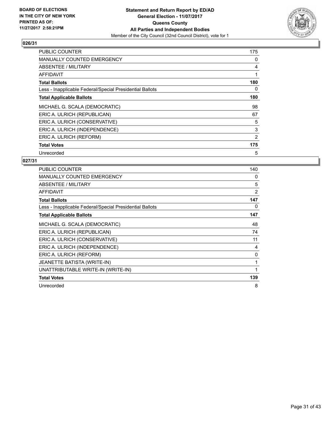

| <b>PUBLIC COUNTER</b>                                    | 175 |
|----------------------------------------------------------|-----|
| <b>MANUALLY COUNTED EMERGENCY</b>                        | 0   |
| ABSENTEE / MILITARY                                      | 4   |
| AFFIDAVIT                                                |     |
| <b>Total Ballots</b>                                     | 180 |
| Less - Inapplicable Federal/Special Presidential Ballots | 0   |
| <b>Total Applicable Ballots</b>                          | 180 |
| MICHAEL G. SCALA (DEMOCRATIC)                            | 98  |
| ERIC A. ULRICH (REPUBLICAN)                              | 67  |
| ERIC A. ULRICH (CONSERVATIVE)                            | 5   |
| ERIC A. ULRICH (INDEPENDENCE)                            | 3   |
| ERIC A. ULRICH (REFORM)                                  | 2   |
| <b>Total Votes</b>                                       | 175 |
| Unrecorded                                               | 5   |

| PUBLIC COUNTER                                           | 140            |
|----------------------------------------------------------|----------------|
| MANUALLY COUNTED EMERGENCY                               | 0              |
| ABSENTEE / MILITARY                                      | 5              |
| <b>AFFIDAVIT</b>                                         | $\overline{2}$ |
| <b>Total Ballots</b>                                     | 147            |
| Less - Inapplicable Federal/Special Presidential Ballots | 0              |
| <b>Total Applicable Ballots</b>                          | 147            |
| MICHAEL G. SCALA (DEMOCRATIC)                            | 48             |
| ERIC A. ULRICH (REPUBLICAN)                              | 74             |
| ERIC A. ULRICH (CONSERVATIVE)                            | 11             |
| ERIC A. ULRICH (INDEPENDENCE)                            | 4              |
| ERIC A. ULRICH (REFORM)                                  | 0              |
| JEANETTE BATISTA (WRITE-IN)                              | 1              |
| UNATTRIBUTABLE WRITE-IN (WRITE-IN)                       | 1              |
| <b>Total Votes</b>                                       | 139            |
| Unrecorded                                               | 8              |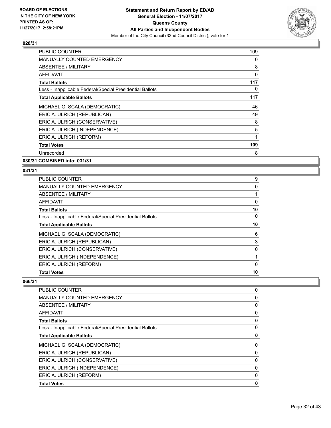

| <b>PUBLIC COUNTER</b>                                    | 109 |
|----------------------------------------------------------|-----|
| <b>MANUALLY COUNTED EMERGENCY</b>                        | 0   |
| <b>ABSENTEE / MILITARY</b>                               | 8   |
| AFFIDAVIT                                                | 0   |
| <b>Total Ballots</b>                                     | 117 |
| Less - Inapplicable Federal/Special Presidential Ballots | 0   |
| <b>Total Applicable Ballots</b>                          | 117 |
| MICHAEL G. SCALA (DEMOCRATIC)                            | 46  |
| ERIC A. ULRICH (REPUBLICAN)                              | 49  |
| ERIC A. ULRICH (CONSERVATIVE)                            | 8   |
| ERIC A. ULRICH (INDEPENDENCE)                            | 5   |
| ERIC A. ULRICH (REFORM)                                  | 1   |
| <b>Total Votes</b>                                       | 109 |
| Unrecorded                                               | 8   |

**030/31 COMBINED into: 031/31**

#### **031/31**

| <b>PUBLIC COUNTER</b>                                    | 9  |
|----------------------------------------------------------|----|
| <b>MANUALLY COUNTED EMERGENCY</b>                        | 0  |
| ABSENTEE / MILITARY                                      |    |
| AFFIDAVIT                                                | 0  |
| <b>Total Ballots</b>                                     | 10 |
| Less - Inapplicable Federal/Special Presidential Ballots | 0  |
| <b>Total Applicable Ballots</b>                          | 10 |
| MICHAEL G. SCALA (DEMOCRATIC)                            | 6  |
| ERIC A. ULRICH (REPUBLICAN)                              | 3  |
| ERIC A. ULRICH (CONSERVATIVE)                            | 0  |
| ERIC A. ULRICH (INDEPENDENCE)                            |    |
| ERIC A. ULRICH (REFORM)                                  | 0  |
| <b>Total Votes</b>                                       | 10 |
|                                                          |    |

| <b>PUBLIC COUNTER</b>                                    | 0 |
|----------------------------------------------------------|---|
| <b>MANUALLY COUNTED EMERGENCY</b>                        | 0 |
| ABSENTEE / MILITARY                                      | 0 |
| AFFIDAVIT                                                | 0 |
| <b>Total Ballots</b>                                     | 0 |
| Less - Inapplicable Federal/Special Presidential Ballots | 0 |
| <b>Total Applicable Ballots</b>                          | 0 |
| MICHAEL G. SCALA (DEMOCRATIC)                            | 0 |
| ERIC A. ULRICH (REPUBLICAN)                              | 0 |
| ERIC A. ULRICH (CONSERVATIVE)                            | 0 |
| ERIC A. ULRICH (INDEPENDENCE)                            | 0 |
| ERIC A. ULRICH (REFORM)                                  | 0 |
| <b>Total Votes</b>                                       | 0 |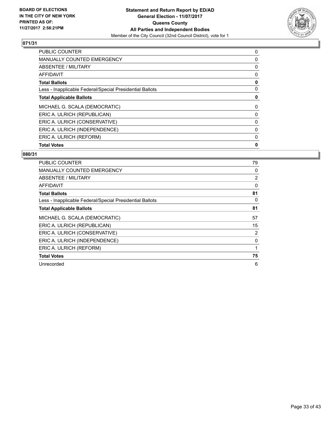

| 0 |
|---|
| 0 |
| 0 |
| 0 |
| 0 |
| 0 |
| 0 |
| 0 |
| 0 |
| 0 |
| 0 |
| 0 |
| 0 |
|   |

| <b>PUBLIC COUNTER</b>                                    | 79             |
|----------------------------------------------------------|----------------|
| <b>MANUALLY COUNTED EMERGENCY</b>                        | 0              |
| ABSENTEE / MILITARY                                      | $\overline{2}$ |
| AFFIDAVIT                                                | $\mathbf{0}$   |
| <b>Total Ballots</b>                                     | 81             |
| Less - Inapplicable Federal/Special Presidential Ballots | 0              |
| <b>Total Applicable Ballots</b>                          | 81             |
| MICHAEL G. SCALA (DEMOCRATIC)                            | 57             |
| ERIC A. ULRICH (REPUBLICAN)                              | 15             |
| ERIC A. ULRICH (CONSERVATIVE)                            | 2              |
| ERIC A. ULRICH (INDEPENDENCE)                            | 0              |
| ERIC A. ULRICH (REFORM)                                  | 1              |
| <b>Total Votes</b>                                       | 75             |
| Unrecorded                                               | 6              |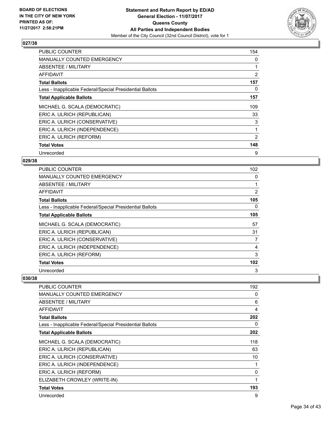

| <b>PUBLIC COUNTER</b>                                    | 154 |
|----------------------------------------------------------|-----|
| <b>MANUALLY COUNTED EMERGENCY</b>                        | 0   |
| <b>ABSENTEE / MILITARY</b>                               |     |
| AFFIDAVIT                                                | 2   |
| <b>Total Ballots</b>                                     | 157 |
| Less - Inapplicable Federal/Special Presidential Ballots | 0   |
| <b>Total Applicable Ballots</b>                          | 157 |
| MICHAEL G. SCALA (DEMOCRATIC)                            | 109 |
| ERIC A. ULRICH (REPUBLICAN)                              | 33  |
| ERIC A. ULRICH (CONSERVATIVE)                            | 3   |
| ERIC A. ULRICH (INDEPENDENCE)                            | 1   |
| ERIC A. ULRICH (REFORM)                                  | 2   |
| <b>Total Votes</b>                                       | 148 |
| Unrecorded                                               | 9   |

## **029/38**

| <b>PUBLIC COUNTER</b>                                    | 102 |
|----------------------------------------------------------|-----|
| <b>MANUALLY COUNTED EMERGENCY</b>                        | 0   |
| ABSENTEE / MILITARY                                      | 1   |
| AFFIDAVIT                                                | 2   |
| <b>Total Ballots</b>                                     | 105 |
| Less - Inapplicable Federal/Special Presidential Ballots | 0   |
| <b>Total Applicable Ballots</b>                          | 105 |
| MICHAEL G. SCALA (DEMOCRATIC)                            | 57  |
| ERIC A. ULRICH (REPUBLICAN)                              | 31  |
| ERIC A. ULRICH (CONSERVATIVE)                            | 7   |
| ERIC A. ULRICH (INDEPENDENCE)                            | 4   |
| ERIC A. ULRICH (REFORM)                                  | 3   |
| <b>Total Votes</b>                                       | 102 |
| Unrecorded                                               | 3   |

| PUBLIC COUNTER                                           | 192 |
|----------------------------------------------------------|-----|
| <b>MANUALLY COUNTED EMERGENCY</b>                        | 0   |
| ABSENTEE / MILITARY                                      | 6   |
| AFFIDAVIT                                                | 4   |
| <b>Total Ballots</b>                                     | 202 |
| Less - Inapplicable Federal/Special Presidential Ballots | 0   |
| <b>Total Applicable Ballots</b>                          | 202 |
| MICHAEL G. SCALA (DEMOCRATIC)                            | 118 |
| ERIC A. ULRICH (REPUBLICAN)                              | 63  |
| ERIC A. ULRICH (CONSERVATIVE)                            | 10  |
| ERIC A. ULRICH (INDEPENDENCE)                            | 1   |
| ERIC A. ULRICH (REFORM)                                  | 0   |
| ELIZABETH CROWLEY (WRITE-IN)                             | 1   |
| <b>Total Votes</b>                                       | 193 |
| Unrecorded                                               | 9   |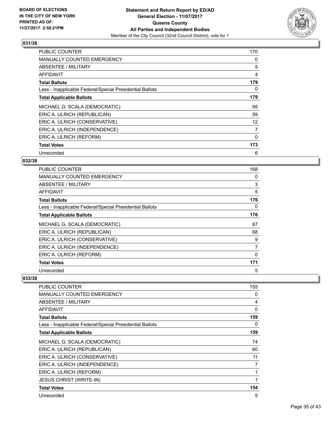

| <b>PUBLIC COUNTER</b>                                    | 170 |
|----------------------------------------------------------|-----|
| <b>MANUALLY COUNTED EMERGENCY</b>                        | 0   |
| ABSENTEE / MILITARY                                      | 5   |
| AFFIDAVIT                                                | 4   |
| <b>Total Ballots</b>                                     | 179 |
| Less - Inapplicable Federal/Special Presidential Ballots | 0   |
| <b>Total Applicable Ballots</b>                          | 179 |
| MICHAEL G. SCALA (DEMOCRATIC)                            | 95  |
| ERIC A. ULRICH (REPUBLICAN)                              | 59  |
| ERIC A. ULRICH (CONSERVATIVE)                            | 12  |
| ERIC A. ULRICH (INDEPENDENCE)                            | 7   |
| ERIC A. ULRICH (REFORM)                                  | 0   |
| <b>Total Votes</b>                                       | 173 |
| Unrecorded                                               | 6   |

## **032/38**

| <b>PUBLIC COUNTER</b>                                    | 168 |
|----------------------------------------------------------|-----|
| <b>MANUALLY COUNTED EMERGENCY</b>                        | 0   |
| ABSENTEE / MILITARY                                      | 3   |
| AFFIDAVIT                                                | 5   |
| <b>Total Ballots</b>                                     | 176 |
| Less - Inapplicable Federal/Special Presidential Ballots | 0   |
| <b>Total Applicable Ballots</b>                          | 176 |
| MICHAEL G. SCALA (DEMOCRATIC)                            | 87  |
| ERIC A. ULRICH (REPUBLICAN)                              | 68  |
| ERIC A. ULRICH (CONSERVATIVE)                            | 9   |
| ERIC A. ULRICH (INDEPENDENCE)                            | 7   |
| ERIC A. ULRICH (REFORM)                                  | 0   |
| <b>Total Votes</b>                                       | 171 |
| Unrecorded                                               | 5   |

| PUBLIC COUNTER                                           | 155 |
|----------------------------------------------------------|-----|
| <b>MANUALLY COUNTED EMERGENCY</b>                        | 0   |
| ABSENTEE / MILITARY                                      | 4   |
| <b>AFFIDAVIT</b>                                         | 0   |
| <b>Total Ballots</b>                                     | 159 |
| Less - Inapplicable Federal/Special Presidential Ballots | 0   |
| <b>Total Applicable Ballots</b>                          | 159 |
| MICHAEL G. SCALA (DEMOCRATIC)                            | 74  |
| ERIC A. ULRICH (REPUBLICAN)                              | 60  |
| ERIC A. ULRICH (CONSERVATIVE)                            | 11  |
| ERIC A. ULRICH (INDEPENDENCE)                            | 7   |
| ERIC A. ULRICH (REFORM)                                  | 1   |
| <b>JESUS CHRIST (WRITE-IN)</b>                           | 1   |
| <b>Total Votes</b>                                       | 154 |
| Unrecorded                                               | 5   |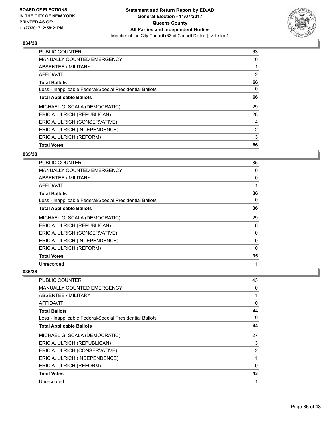

| <b>Total Votes</b>                                       | 66             |
|----------------------------------------------------------|----------------|
| ERIC A. ULRICH (REFORM)                                  | 3              |
| ERIC A. ULRICH (INDEPENDENCE)                            | $\overline{2}$ |
| ERIC A. ULRICH (CONSERVATIVE)                            | 4              |
| ERIC A. ULRICH (REPUBLICAN)                              | 28             |
| MICHAEL G. SCALA (DEMOCRATIC)                            | 29             |
| <b>Total Applicable Ballots</b>                          | 66             |
| Less - Inapplicable Federal/Special Presidential Ballots | 0              |
| <b>Total Ballots</b>                                     | 66             |
| AFFIDAVIT                                                | $\overline{2}$ |
| ABSENTEE / MILITARY                                      |                |
| <b>MANUALLY COUNTED EMERGENCY</b>                        | 0              |
| <b>PUBLIC COUNTER</b>                                    | 63             |

#### **035/38**

| <b>PUBLIC COUNTER</b>                                    | 35 |
|----------------------------------------------------------|----|
| <b>MANUALLY COUNTED EMERGENCY</b>                        | 0  |
| ABSENTEE / MILITARY                                      | 0  |
| AFFIDAVIT                                                |    |
| <b>Total Ballots</b>                                     | 36 |
| Less - Inapplicable Federal/Special Presidential Ballots | 0  |
| <b>Total Applicable Ballots</b>                          | 36 |
| MICHAEL G. SCALA (DEMOCRATIC)                            | 29 |
| ERIC A. ULRICH (REPUBLICAN)                              | 6  |
| ERIC A. ULRICH (CONSERVATIVE)                            | 0  |
| ERIC A. ULRICH (INDEPENDENCE)                            | 0  |
| ERIC A. ULRICH (REFORM)                                  | 0  |
| <b>Total Votes</b>                                       | 35 |
| Unrecorded                                               |    |

| PUBLIC COUNTER                                           | 43 |
|----------------------------------------------------------|----|
| <b>MANUALLY COUNTED EMERGENCY</b>                        | 0  |
| ABSENTEE / MILITARY                                      | 1  |
| AFFIDAVIT                                                | 0  |
| <b>Total Ballots</b>                                     | 44 |
| Less - Inapplicable Federal/Special Presidential Ballots | 0  |
| <b>Total Applicable Ballots</b>                          | 44 |
| MICHAEL G. SCALA (DEMOCRATIC)                            | 27 |
| ERIC A. ULRICH (REPUBLICAN)                              | 13 |
| ERIC A. ULRICH (CONSERVATIVE)                            | 2  |
| ERIC A. ULRICH (INDEPENDENCE)                            | 1  |
| ERIC A. ULRICH (REFORM)                                  | 0  |
| <b>Total Votes</b>                                       | 43 |
| Unrecorded                                               | 1  |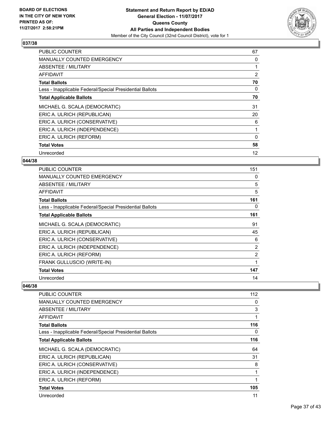

| <b>PUBLIC COUNTER</b>                                    | 67 |
|----------------------------------------------------------|----|
| <b>MANUALLY COUNTED EMERGENCY</b>                        | 0  |
| <b>ABSENTEE / MILITARY</b>                               |    |
| AFFIDAVIT                                                | 2  |
| <b>Total Ballots</b>                                     | 70 |
| Less - Inapplicable Federal/Special Presidential Ballots | 0  |
| <b>Total Applicable Ballots</b>                          | 70 |
| MICHAEL G. SCALA (DEMOCRATIC)                            | 31 |
| ERIC A. ULRICH (REPUBLICAN)                              | 20 |
| ERIC A. ULRICH (CONSERVATIVE)                            | 6  |
| ERIC A. ULRICH (INDEPENDENCE)                            |    |
| ERIC A. ULRICH (REFORM)                                  | 0  |
| <b>Total Votes</b>                                       | 58 |
| Unrecorded                                               | 12 |

## **044/38**

| <b>PUBLIC COUNTER</b>                                    | 151 |
|----------------------------------------------------------|-----|
| <b>MANUALLY COUNTED EMERGENCY</b>                        | 0   |
| ABSENTEE / MILITARY                                      | 5   |
| AFFIDAVIT                                                | 5   |
| <b>Total Ballots</b>                                     | 161 |
| Less - Inapplicable Federal/Special Presidential Ballots | 0   |
| <b>Total Applicable Ballots</b>                          | 161 |
| MICHAEL G. SCALA (DEMOCRATIC)                            | 91  |
| ERIC A. ULRICH (REPUBLICAN)                              | 45  |
| ERIC A. ULRICH (CONSERVATIVE)                            | 6   |
| ERIC A. ULRICH (INDEPENDENCE)                            | 2   |
| ERIC A. ULRICH (REFORM)                                  | 2   |
| FRANK GULLUSCIO (WRITE-IN)                               |     |
| <b>Total Votes</b>                                       | 147 |
| Unrecorded                                               | 14  |

| PUBLIC COUNTER                                           | 112 |
|----------------------------------------------------------|-----|
| <b>MANUALLY COUNTED EMERGENCY</b>                        | 0   |
| ABSENTEE / MILITARY                                      | 3   |
| AFFIDAVIT                                                | 1   |
| <b>Total Ballots</b>                                     | 116 |
| Less - Inapplicable Federal/Special Presidential Ballots | 0   |
| <b>Total Applicable Ballots</b>                          | 116 |
| MICHAEL G. SCALA (DEMOCRATIC)                            | 64  |
| ERIC A. ULRICH (REPUBLICAN)                              | 31  |
| ERIC A. ULRICH (CONSERVATIVE)                            | 8   |
| ERIC A. ULRICH (INDEPENDENCE)                            | 1   |
| ERIC A. ULRICH (REFORM)                                  | 1   |
| <b>Total Votes</b>                                       | 105 |
| Unrecorded                                               | 11  |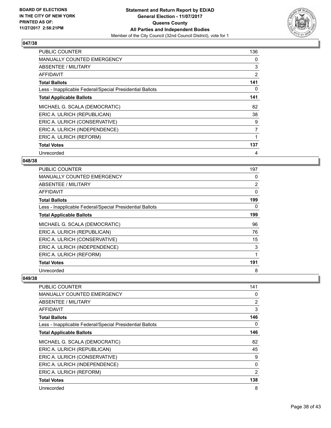

| <b>PUBLIC COUNTER</b>                                    | 136            |
|----------------------------------------------------------|----------------|
| <b>MANUALLY COUNTED EMERGENCY</b>                        | 0              |
| <b>ABSENTEE / MILITARY</b>                               | 3              |
| AFFIDAVIT                                                | 2              |
| <b>Total Ballots</b>                                     | 141            |
| Less - Inapplicable Federal/Special Presidential Ballots | 0              |
| <b>Total Applicable Ballots</b>                          | 141            |
| MICHAEL G. SCALA (DEMOCRATIC)                            | 82             |
| ERIC A. ULRICH (REPUBLICAN)                              | 38             |
| ERIC A. ULRICH (CONSERVATIVE)                            | 9              |
| ERIC A. ULRICH (INDEPENDENCE)                            | $\overline{7}$ |
| ERIC A. ULRICH (REFORM)                                  |                |
| <b>Total Votes</b>                                       | 137            |
| Unrecorded                                               | 4              |

## **048/38**

| <b>PUBLIC COUNTER</b>                                    | 197            |
|----------------------------------------------------------|----------------|
| <b>MANUALLY COUNTED EMERGENCY</b>                        | 0              |
| ABSENTEE / MILITARY                                      | $\overline{2}$ |
| AFFIDAVIT                                                | 0              |
| <b>Total Ballots</b>                                     | 199            |
| Less - Inapplicable Federal/Special Presidential Ballots | 0              |
| <b>Total Applicable Ballots</b>                          | 199            |
| MICHAEL G. SCALA (DEMOCRATIC)                            | 96             |
| ERIC A. ULRICH (REPUBLICAN)                              | 76             |
| ERIC A. ULRICH (CONSERVATIVE)                            | 15             |
| ERIC A. ULRICH (INDEPENDENCE)                            | 3              |
| ERIC A. ULRICH (REFORM)                                  |                |
| <b>Total Votes</b>                                       | 191            |
| Unrecorded                                               | 8              |

| <b>PUBLIC COUNTER</b>                                    | 141 |
|----------------------------------------------------------|-----|
|                                                          |     |
| MANUALLY COUNTED EMERGENCY                               | 0   |
| ABSENTEE / MILITARY                                      | 2   |
| <b>AFFIDAVIT</b>                                         | 3   |
| <b>Total Ballots</b>                                     | 146 |
| Less - Inapplicable Federal/Special Presidential Ballots | 0   |
| <b>Total Applicable Ballots</b>                          | 146 |
| MICHAEL G. SCALA (DEMOCRATIC)                            | 82  |
| ERIC A. ULRICH (REPUBLICAN)                              | 45  |
| ERIC A. ULRICH (CONSERVATIVE)                            | 9   |
| ERIC A. ULRICH (INDEPENDENCE)                            | 0   |
| ERIC A. ULRICH (REFORM)                                  | 2   |
| <b>Total Votes</b>                                       | 138 |
| Unrecorded                                               | 8   |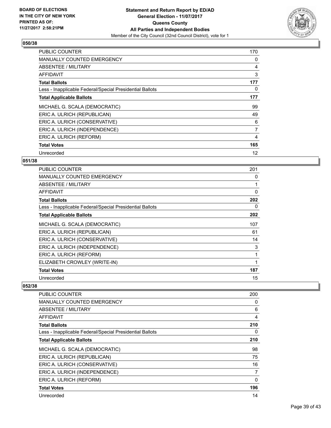

| <b>PUBLIC COUNTER</b>                                    | 170 |
|----------------------------------------------------------|-----|
| <b>MANUALLY COUNTED EMERGENCY</b>                        | 0   |
| <b>ABSENTEE / MILITARY</b>                               | 4   |
| AFFIDAVIT                                                | 3   |
| <b>Total Ballots</b>                                     | 177 |
| Less - Inapplicable Federal/Special Presidential Ballots | 0   |
| <b>Total Applicable Ballots</b>                          | 177 |
| MICHAEL G. SCALA (DEMOCRATIC)                            | 99  |
| ERIC A. ULRICH (REPUBLICAN)                              | 49  |
| ERIC A. ULRICH (CONSERVATIVE)                            | 6   |
| ERIC A. ULRICH (INDEPENDENCE)                            | 7   |
| ERIC A. ULRICH (REFORM)                                  | 4   |
| <b>Total Votes</b>                                       | 165 |
| Unrecorded                                               | 12  |

## **051/38**

| <b>PUBLIC COUNTER</b>                                    | 201 |
|----------------------------------------------------------|-----|
| <b>MANUALLY COUNTED EMERGENCY</b>                        | 0   |
| ABSENTEE / MILITARY                                      |     |
| <b>AFFIDAVIT</b>                                         | 0   |
| <b>Total Ballots</b>                                     | 202 |
| Less - Inapplicable Federal/Special Presidential Ballots | 0   |
| <b>Total Applicable Ballots</b>                          | 202 |
| MICHAEL G. SCALA (DEMOCRATIC)                            | 107 |
| ERIC A. ULRICH (REPUBLICAN)                              | 61  |
| ERIC A. ULRICH (CONSERVATIVE)                            | 14  |
| ERIC A. ULRICH (INDEPENDENCE)                            | 3   |
| ERIC A. ULRICH (REFORM)                                  | 1   |
| ELIZABETH CROWLEY (WRITE-IN)                             |     |
| <b>Total Votes</b>                                       | 187 |
| Unrecorded                                               | 15  |

| PUBLIC COUNTER                                           | 200 |
|----------------------------------------------------------|-----|
| <b>MANUALLY COUNTED EMERGENCY</b>                        | 0   |
| ABSENTEE / MILITARY                                      | 6   |
| AFFIDAVIT                                                | 4   |
| <b>Total Ballots</b>                                     | 210 |
| Less - Inapplicable Federal/Special Presidential Ballots | 0   |
| <b>Total Applicable Ballots</b>                          | 210 |
| MICHAEL G. SCALA (DEMOCRATIC)                            | 98  |
| ERIC A. ULRICH (REPUBLICAN)                              | 75  |
| ERIC A. ULRICH (CONSERVATIVE)                            | 16  |
| ERIC A. ULRICH (INDEPENDENCE)                            | 7   |
| ERIC A. ULRICH (REFORM)                                  | 0   |
| <b>Total Votes</b>                                       | 196 |
| Unrecorded                                               | 14  |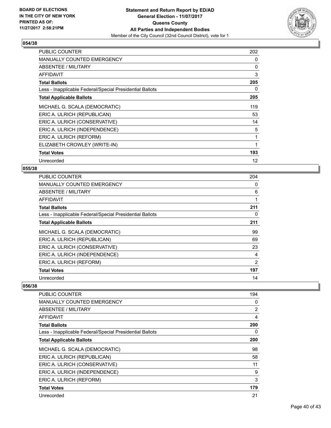

| <b>PUBLIC COUNTER</b>                                    | 202 |
|----------------------------------------------------------|-----|
| <b>MANUALLY COUNTED EMERGENCY</b>                        | 0   |
| ABSENTEE / MILITARY                                      | 0   |
| <b>AFFIDAVIT</b>                                         | 3   |
| <b>Total Ballots</b>                                     | 205 |
| Less - Inapplicable Federal/Special Presidential Ballots | 0   |
| <b>Total Applicable Ballots</b>                          | 205 |
| MICHAEL G. SCALA (DEMOCRATIC)                            | 119 |
| ERIC A. ULRICH (REPUBLICAN)                              | 53  |
| ERIC A. ULRICH (CONSERVATIVE)                            | 14  |
| ERIC A. ULRICH (INDEPENDENCE)                            | 5   |
| ERIC A. ULRICH (REFORM)                                  | 1   |
| ELIZABETH CROWLEY (WRITE-IN)                             | 1   |
| <b>Total Votes</b>                                       | 193 |
| Unrecorded                                               | 12  |

## **055/38**

| <b>PUBLIC COUNTER</b>                                    | 204            |
|----------------------------------------------------------|----------------|
| <b>MANUALLY COUNTED EMERGENCY</b>                        | 0              |
| ABSENTEE / MILITARY                                      | 6              |
| <b>AFFIDAVIT</b>                                         |                |
| <b>Total Ballots</b>                                     | 211            |
| Less - Inapplicable Federal/Special Presidential Ballots | 0              |
| <b>Total Applicable Ballots</b>                          | 211            |
| MICHAEL G. SCALA (DEMOCRATIC)                            | 99             |
| ERIC A. ULRICH (REPUBLICAN)                              | 69             |
| ERIC A. ULRICH (CONSERVATIVE)                            | 23             |
| ERIC A. ULRICH (INDEPENDENCE)                            | 4              |
| ERIC A. ULRICH (REFORM)                                  | $\overline{2}$ |
| <b>Total Votes</b>                                       | 197            |
| Unrecorded                                               | 14             |

| PUBLIC COUNTER                                           | 194 |
|----------------------------------------------------------|-----|
| <b>MANUALLY COUNTED EMERGENCY</b>                        | 0   |
| ABSENTEE / MILITARY                                      | 2   |
| AFFIDAVIT                                                | 4   |
| <b>Total Ballots</b>                                     | 200 |
| Less - Inapplicable Federal/Special Presidential Ballots | 0   |
| <b>Total Applicable Ballots</b>                          | 200 |
| MICHAEL G. SCALA (DEMOCRATIC)                            | 98  |
| ERIC A. ULRICH (REPUBLICAN)                              | 58  |
| ERIC A. ULRICH (CONSERVATIVE)                            | 11  |
| ERIC A. ULRICH (INDEPENDENCE)                            | 9   |
| ERIC A. ULRICH (REFORM)                                  | 3   |
| <b>Total Votes</b>                                       | 179 |
| Unrecorded                                               | 21  |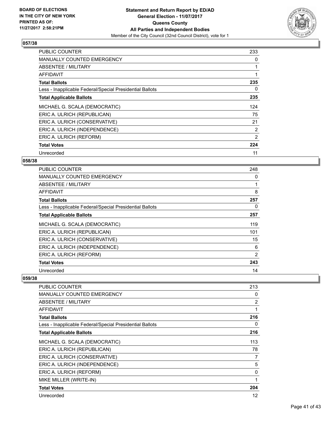

| <b>PUBLIC COUNTER</b>                                    | 233            |
|----------------------------------------------------------|----------------|
| <b>MANUALLY COUNTED EMERGENCY</b>                        | 0              |
| ABSENTEE / MILITARY                                      |                |
| <b>AFFIDAVIT</b>                                         |                |
| <b>Total Ballots</b>                                     | 235            |
| Less - Inapplicable Federal/Special Presidential Ballots | 0              |
| <b>Total Applicable Ballots</b>                          | 235            |
| MICHAEL G. SCALA (DEMOCRATIC)                            | 124            |
| ERIC A. ULRICH (REPUBLICAN)                              | 75             |
| ERIC A. ULRICH (CONSERVATIVE)                            | 21             |
| ERIC A. ULRICH (INDEPENDENCE)                            | $\overline{2}$ |
| ERIC A. ULRICH (REFORM)                                  | 2              |
|                                                          |                |
| <b>Total Votes</b>                                       | 224            |

## **058/38**

| <b>PUBLIC COUNTER</b>                                    | 248 |
|----------------------------------------------------------|-----|
| <b>MANUALLY COUNTED EMERGENCY</b>                        | 0   |
| ABSENTEE / MILITARY                                      |     |
| AFFIDAVIT                                                | 8   |
| <b>Total Ballots</b>                                     | 257 |
| Less - Inapplicable Federal/Special Presidential Ballots | 0   |
| <b>Total Applicable Ballots</b>                          | 257 |
| MICHAEL G. SCALA (DEMOCRATIC)                            | 119 |
| ERIC A. ULRICH (REPUBLICAN)                              | 101 |
| ERIC A. ULRICH (CONSERVATIVE)                            | 15  |
| ERIC A. ULRICH (INDEPENDENCE)                            | 6   |
| ERIC A. ULRICH (REFORM)                                  | 2   |
| <b>Total Votes</b>                                       | 243 |
| Unrecorded                                               | 14  |

| PUBLIC COUNTER                                           | 213            |
|----------------------------------------------------------|----------------|
| <b>MANUALLY COUNTED EMERGENCY</b>                        | 0              |
| <b>ABSENTEE / MILITARY</b>                               | $\overline{2}$ |
| AFFIDAVIT                                                | 1              |
| <b>Total Ballots</b>                                     | 216            |
| Less - Inapplicable Federal/Special Presidential Ballots | 0              |
| <b>Total Applicable Ballots</b>                          | 216            |
| MICHAEL G. SCALA (DEMOCRATIC)                            | 113            |
| ERIC A. ULRICH (REPUBLICAN)                              | 78             |
| ERIC A. ULRICH (CONSERVATIVE)                            | 7              |
| ERIC A. ULRICH (INDEPENDENCE)                            | 5              |
| ERIC A. ULRICH (REFORM)                                  | 0              |
| MIKE MILLER (WRITE-IN)                                   | 1              |
| <b>Total Votes</b>                                       | 204            |
| Unrecorded                                               | 12             |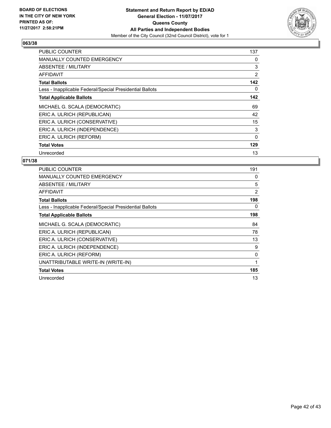

| <b>PUBLIC COUNTER</b>                                    | 137      |
|----------------------------------------------------------|----------|
| <b>MANUALLY COUNTED EMERGENCY</b>                        | 0        |
| <b>ABSENTEE / MILITARY</b>                               | 3        |
| AFFIDAVIT                                                | 2        |
| <b>Total Ballots</b>                                     | 142      |
| Less - Inapplicable Federal/Special Presidential Ballots | 0        |
| <b>Total Applicable Ballots</b>                          | 142      |
| MICHAEL G. SCALA (DEMOCRATIC)                            | 69       |
| ERIC A. ULRICH (REPUBLICAN)                              | 42       |
| ERIC A. ULRICH (CONSERVATIVE)                            | 15       |
| ERIC A. ULRICH (INDEPENDENCE)                            | 3        |
| ERIC A. ULRICH (REFORM)                                  | $\Omega$ |
| <b>Total Votes</b>                                       | 129      |
| Unrecorded                                               | 13       |

| <b>PUBLIC COUNTER</b>                                    | 191 |
|----------------------------------------------------------|-----|
| <b>MANUALLY COUNTED EMERGENCY</b>                        | 0   |
| ABSENTEE / MILITARY                                      | 5   |
| AFFIDAVIT                                                | 2   |
| <b>Total Ballots</b>                                     | 198 |
| Less - Inapplicable Federal/Special Presidential Ballots | 0   |
| <b>Total Applicable Ballots</b>                          | 198 |
| MICHAEL G. SCALA (DEMOCRATIC)                            | 84  |
| ERIC A. ULRICH (REPUBLICAN)                              | 78  |
| ERIC A. ULRICH (CONSERVATIVE)                            | 13  |
| ERIC A. ULRICH (INDEPENDENCE)                            | 9   |
| ERIC A. ULRICH (REFORM)                                  | 0   |
| UNATTRIBUTABLE WRITE-IN (WRITE-IN)                       | 1   |
| <b>Total Votes</b>                                       | 185 |
| Unrecorded                                               | 13  |